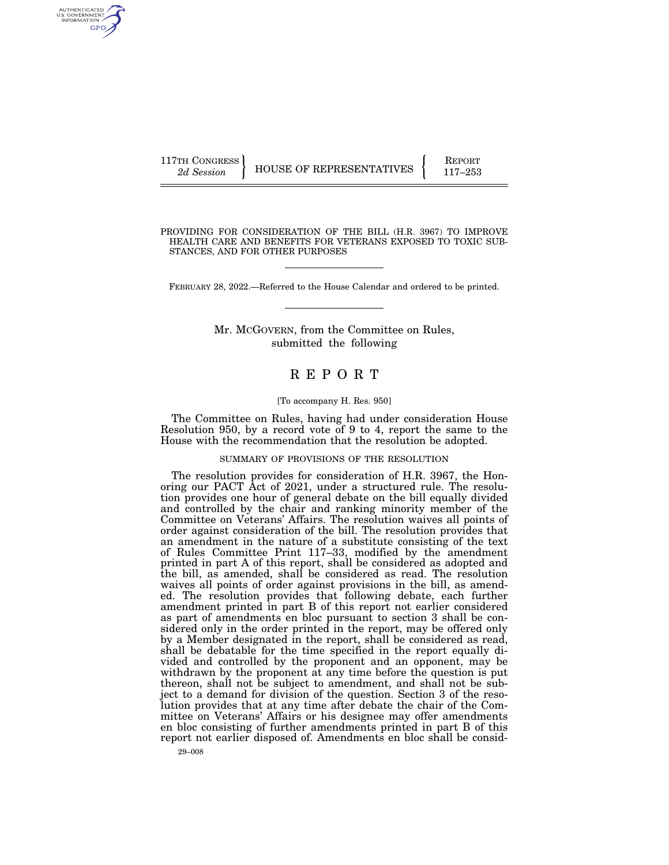117TH CONGRESS HOUSE OF REPRESENTATIVES FEPORT 117-253

PROVIDING FOR CONSIDERATION OF THE BILL (H.R. 3967) TO IMPROVE HEALTH CARE AND BENEFITS FOR VETERANS EXPOSED TO TOXIC SUB-STANCES, AND FOR OTHER PURPOSES

FEBRUARY 28, 2022.—Referred to the House Calendar and ordered to be printed.

Mr. MCGOVERN, from the Committee on Rules, submitted the following

# R E P O R T

### [To accompany H. Res. 950]

The Committee on Rules, having had under consideration House Resolution 950, by a record vote of 9 to 4, report the same to the House with the recommendation that the resolution be adopted.

SUMMARY OF PROVISIONS OF THE RESOLUTION

The resolution provides for consideration of H.R. 3967, the Honoring our PACT Act of 2021, under a structured rule. The resolution provides one hour of general debate on the bill equally divided and controlled by the chair and ranking minority member of the Committee on Veterans' Affairs. The resolution waives all points of order against consideration of the bill. The resolution provides that an amendment in the nature of a substitute consisting of the text of Rules Committee Print 117–33, modified by the amendment printed in part A of this report, shall be considered as adopted and the bill, as amended, shall be considered as read. The resolution waives all points of order against provisions in the bill, as amended. The resolution provides that following debate, each further amendment printed in part B of this report not earlier considered as part of amendments en bloc pursuant to section 3 shall be considered only in the order printed in the report, may be offered only by a Member designated in the report, shall be considered as read, shall be debatable for the time specified in the report equally divided and controlled by the proponent and an opponent, may be withdrawn by the proponent at any time before the question is put thereon, shall not be subject to amendment, and shall not be subject to a demand for division of the question. Section 3 of the resolution provides that at any time after debate the chair of the Committee on Veterans' Affairs or his designee may offer amendments en bloc consisting of further amendments printed in part B of this report not earlier disposed of. Amendments en bloc shall be consid-

29–008

AUTHENTICATED<br>U.S. GOVERNMENT<br>INFORMATION **GPO**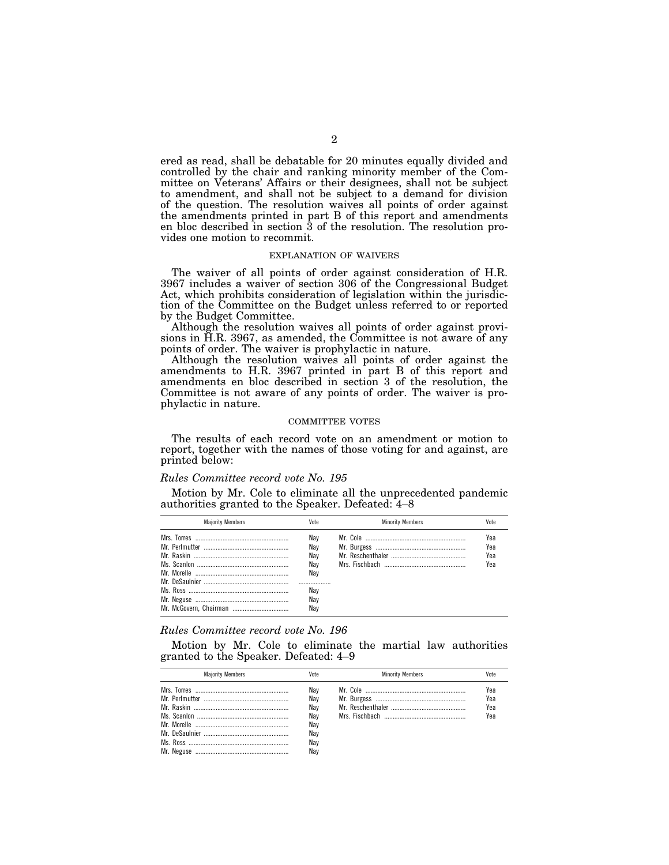ered as read, shall be debatable for 20 minutes equally divided and controlled by the chair and ranking minority member of the Committee on Veterans' Affairs or their designees, shall not be subject to amendment, and shall not be subject to a demand for division of the question. The resolution waives all points of order against the amendments printed in part B of this report and amendments en bloc described in section 3 of the resolution. The resolution provides one motion to recommit.

#### EXPLANATION OF WAIVERS

The waiver of all points of order against consideration of H.R. 3967 includes a waiver of section 306 of the Congressional Budget Act, which prohibits consideration of legislation within the jurisdiction of the Committee on the Budget unless referred to or reported by the Budget Committee.

Although the resolution waives all points of order against provisions in H.R. 3967, as amended, the Committee is not aware of any points of order. The waiver is prophylactic in nature.

Although the resolution waives all points of order against the amendments to H.R. 3967 printed in part B of this report and amendments en bloc described in section 3 of the resolution, the Committee is not aware of any points of order. The waiver is prophylactic in nature.

# COMMITTEE VOTES

The results of each record vote on an amendment or motion to report, together with the names of those voting for and against, are printed below:

#### *Rules Committee record vote No. 195*

Motion by Mr. Cole to eliminate all the unprecedented pandemic authorities granted to the Speaker. Defeated: 4–8

| <b>Maiority Members</b> | Vote                                                     | <b>Minority Members</b> | Vote                     |
|-------------------------|----------------------------------------------------------|-------------------------|--------------------------|
|                         | Nav<br>Nav<br>Nav<br>Nav<br>Nav<br><br>Nav<br>Nav<br>Nav |                         | Yea<br>Yea<br>Yea<br>Yea |

# *Rules Committee record vote No. 196*

Motion by Mr. Cole to eliminate the martial law authorities granted to the Speaker. Defeated: 4–9

| <b>Maiority Members</b> | Vote                                          | <b>Minority Members</b> | Vote                     |
|-------------------------|-----------------------------------------------|-------------------------|--------------------------|
|                         | Nav<br>Nav<br>Nav<br>Nav<br>Nav<br>Nav<br>Nav |                         | Yea<br>Yea<br>Yea<br>Yea |
|                         | Nav                                           |                         |                          |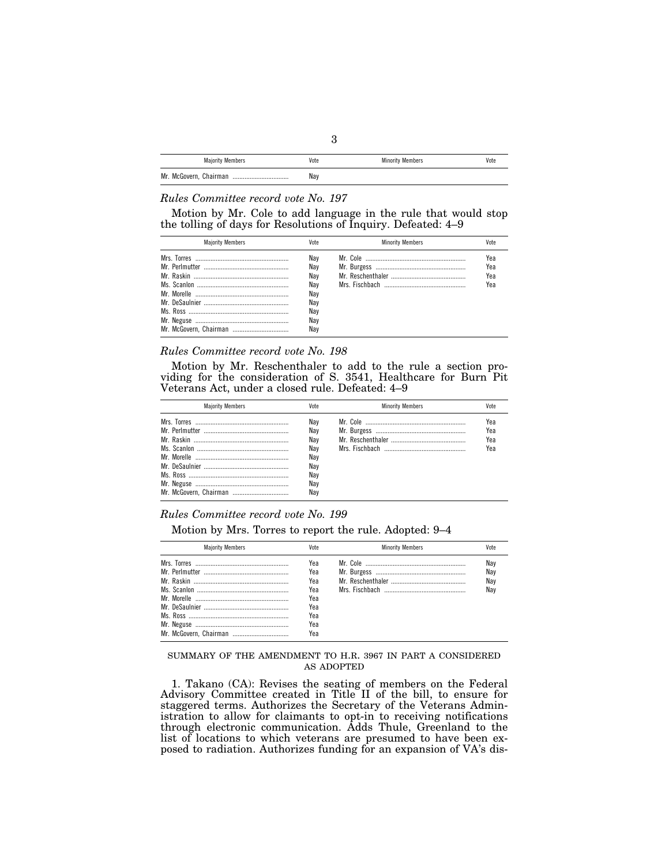| <b>Majority Members</b>    | Vote | <b>Minority Members</b> | Vote |
|----------------------------|------|-------------------------|------|
| Mr. McGovern, Chairman<br> | Nay  |                         |      |

# *Rules Committee record vote No. 197*

Motion by Mr. Cole to add language in the rule that would stop the tolling of days for Resolutions of Inquiry. Defeated: 4–9

| <b>Maiority Members</b> | Vote                                                        | <b>Minority Members</b> | Vote                     |
|-------------------------|-------------------------------------------------------------|-------------------------|--------------------------|
|                         | Nav<br>Nav<br>Nav<br>Nav<br>Nav<br>Nav<br>Nav<br>Nav<br>Nav |                         | Yea<br>Yea<br>Yea<br>Үеа |

# *Rules Committee record vote No. 198*

Motion by Mr. Reschenthaler to add to the rule a section providing for the consideration of S. 3541, Healthcare for Burn Pit Veterans Act, under a closed rule. Defeated: 4–9

| <b>Maiority Members</b> | Vote                                                        | <b>Minority Members</b> | Vote                     |
|-------------------------|-------------------------------------------------------------|-------------------------|--------------------------|
|                         | Nav<br>Nav<br>Nav<br>Nav<br>Nav<br>Nav<br>Nav<br>Nav<br>Nav |                         | Yea<br>Yea<br>Yea<br>Yea |

# *Rules Committee record vote No. 199*

Motion by Mrs. Torres to report the rule. Adopted: 9–4

| <b>Maiority Members</b> | Vote | <b>Minority Members</b> | Vote |
|-------------------------|------|-------------------------|------|
|                         | Yea  |                         | Nay  |
|                         | Yea  |                         | Nay  |
|                         | Yea  |                         | Nay  |
|                         | Yea  |                         | Nav  |
|                         | Yea  |                         |      |
|                         | Yea  |                         |      |
|                         | Yea  |                         |      |
|                         | Yea  |                         |      |
|                         | Yea  |                         |      |

# SUMMARY OF THE AMENDMENT TO H.R. 3967 IN PART A CONSIDERED AS ADOPTED

1. Takano (CA): Revises the seating of members on the Federal Advisory Committee created in Title II of the bill, to ensure for staggered terms. Authorizes the Secretary of the Veterans Administration to allow for claimants to opt-in to receiving notifications through electronic communication. Adds Thule, Greenland to the list of locations to which veterans are presumed to have been exposed to radiation. Authorizes funding for an expansion of VA's dis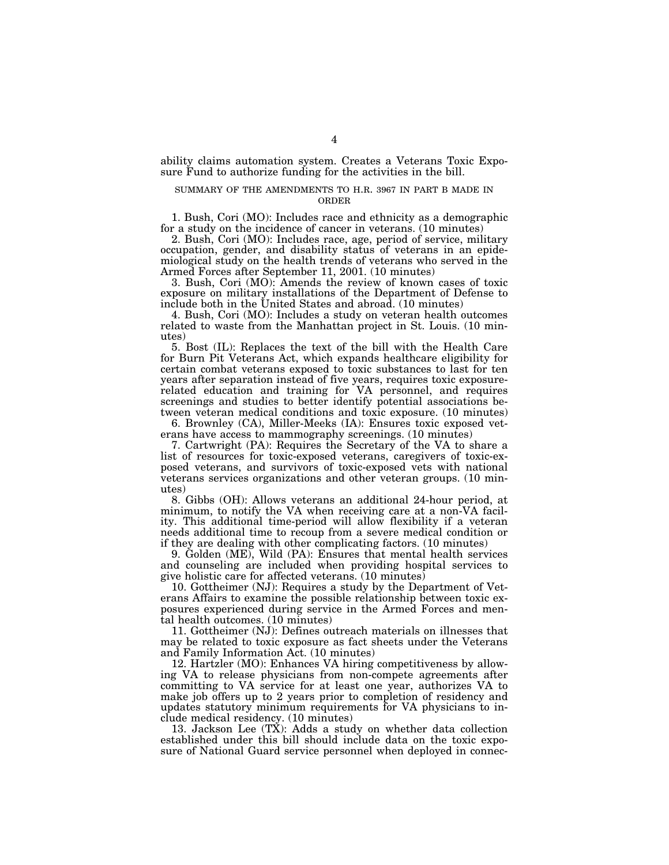ability claims automation system. Creates a Veterans Toxic Exposure Fund to authorize funding for the activities in the bill.

## SUMMARY OF THE AMENDMENTS TO H.R. 3967 IN PART B MADE IN ORDER

1. Bush, Cori (MO): Includes race and ethnicity as a demographic for a study on the incidence of cancer in veterans. (10 minutes)

2. Bush, Cori (MO): Includes race, age, period of service, military occupation, gender, and disability status of veterans in an epidemiological study on the health trends of veterans who served in the Armed Forces after September 11, 2001. (10 minutes)

3. Bush, Cori (MO): Amends the review of known cases of toxic exposure on military installations of the Department of Defense to include both in the United States and abroad. (10 minutes)

4. Bush, Cori (MO): Includes a study on veteran health outcomes related to waste from the Manhattan project in St. Louis. (10 minutes)

5. Bost (IL): Replaces the text of the bill with the Health Care for Burn Pit Veterans Act, which expands healthcare eligibility for certain combat veterans exposed to toxic substances to last for ten years after separation instead of five years, requires toxic exposurerelated education and training for VA personnel, and requires screenings and studies to better identify potential associations between veteran medical conditions and toxic exposure. (10 minutes)

6. Brownley (CA), Miller-Meeks (IA): Ensures toxic exposed veterans have access to mammography screenings. (10 minutes)

7. Cartwright (PA): Requires the Secretary of the VA to share a list of resources for toxic-exposed veterans, caregivers of toxic-exposed veterans, and survivors of toxic-exposed vets with national veterans services organizations and other veteran groups. (10 minutes)

8. Gibbs (OH): Allows veterans an additional 24-hour period, at minimum, to notify the VA when receiving care at a non-VA facility. This additional time-period will allow flexibility if a veteran needs additional time to recoup from a severe medical condition or if they are dealing with other complicating factors. (10 minutes)

9. Golden (ME), Wild (PA): Ensures that mental health services and counseling are included when providing hospital services to give holistic care for affected veterans. (10 minutes)

10. Gottheimer (NJ): Requires a study by the Department of Veterans Affairs to examine the possible relationship between toxic exposures experienced during service in the Armed Forces and mental health outcomes. (10 minutes)

11. Gottheimer (NJ): Defines outreach materials on illnesses that may be related to toxic exposure as fact sheets under the Veterans and Family Information Act. (10 minutes)

12. Hartzler (MO): Enhances VA hiring competitiveness by allowing VA to release physicians from non-compete agreements after committing to VA service for at least one year, authorizes VA to make job offers up to 2 years prior to completion of residency and updates statutory minimum requirements for VA physicians to include medical residency. (10 minutes)

13. Jackson Lee (TX): Adds a study on whether data collection established under this bill should include data on the toxic exposure of National Guard service personnel when deployed in connec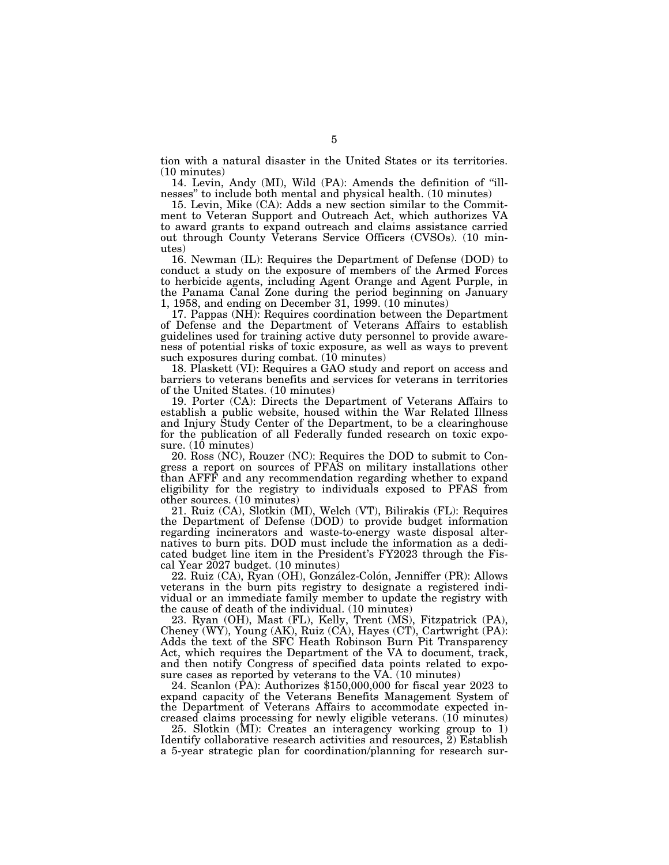tion with a natural disaster in the United States or its territories. (10 minutes)

14. Levin, Andy (MI), Wild (PA): Amends the definition of ''illnesses'' to include both mental and physical health. (10 minutes)

15. Levin, Mike (CA): Adds a new section similar to the Commitment to Veteran Support and Outreach Act, which authorizes VA to award grants to expand outreach and claims assistance carried out through County Veterans Service Officers (CVSOs). (10 minutes)

16. Newman (IL): Requires the Department of Defense (DOD) to conduct a study on the exposure of members of the Armed Forces to herbicide agents, including Agent Orange and Agent Purple, in the Panama Canal Zone during the period beginning on January 1, 1958, and ending on December 31, 1999. (10 minutes)

17. Pappas (NH): Requires coordination between the Department of Defense and the Department of Veterans Affairs to establish guidelines used for training active duty personnel to provide awareness of potential risks of toxic exposure, as well as ways to prevent such exposures during combat. (10 minutes)

18. Plaskett (VI): Requires a GAO study and report on access and barriers to veterans benefits and services for veterans in territories of the United States. (10 minutes)

19. Porter (CA): Directs the Department of Veterans Affairs to establish a public website, housed within the War Related Illness and Injury Study Center of the Department, to be a clearinghouse for the publication of all Federally funded research on toxic exposure.  $(10 \text{ minutes})$ 

20. Ross (NC), Rouzer (NC): Requires the DOD to submit to Congress a report on sources of PFAS on military installations other than AFFF and any recommendation regarding whether to expand eligibility for the registry to individuals exposed to PFAS from other sources. (10 minutes)

21. Ruiz (CA), Slotkin (MI), Welch (VT), Bilirakis (FL): Requires the Department of Defense (DOD) to provide budget information regarding incinerators and waste-to-energy waste disposal alternatives to burn pits. DOD must include the information as a dedicated budget line item in the President's FY2023 through the Fiscal Year 2027 budget. (10 minutes)

22. Ruiz (CA), Ryan (OH), González-Colón, Jenniffer (PR): Allows veterans in the burn pits registry to designate a registered individual or an immediate family member to update the registry with the cause of death of the individual. (10 minutes)

23. Ryan (OH), Mast (FL), Kelly, Trent (MS), Fitzpatrick (PA), Cheney (WY), Young (AK), Ruiz (CA), Hayes (CT), Cartwright (PA): Adds the text of the SFC Heath Robinson Burn Pit Transparency Act, which requires the Department of the VA to document, track, and then notify Congress of specified data points related to exposure cases as reported by veterans to the VA. (10 minutes)

24. Scanlon (PA): Authorizes \$150,000,000 for fiscal year 2023 to expand capacity of the Veterans Benefits Management System of the Department of Veterans Affairs to accommodate expected increased claims processing for newly eligible veterans. (10 minutes)

25. Slotkin (MI): Creates an interagency working group to 1) Identify collaborative research activities and resources, 2) Establish a 5-year strategic plan for coordination/planning for research sur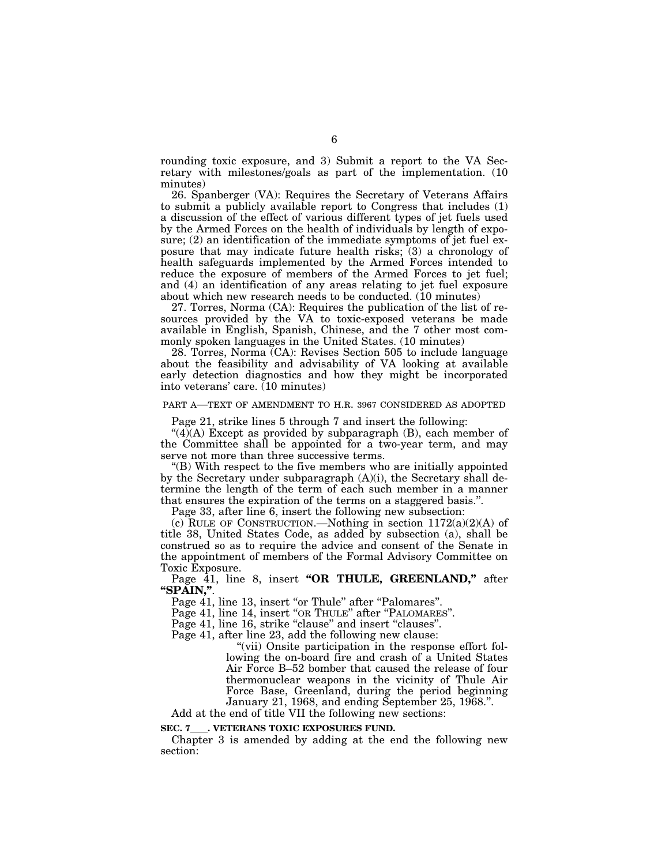rounding toxic exposure, and 3) Submit a report to the VA Secretary with milestones/goals as part of the implementation. (10 minutes)

26. Spanberger (VA): Requires the Secretary of Veterans Affairs to submit a publicly available report to Congress that includes (1) a discussion of the effect of various different types of jet fuels used by the Armed Forces on the health of individuals by length of exposure; (2) an identification of the immediate symptoms of jet fuel exposure that may indicate future health risks; (3) a chronology of health safeguards implemented by the Armed Forces intended to reduce the exposure of members of the Armed Forces to jet fuel; and (4) an identification of any areas relating to jet fuel exposure about which new research needs to be conducted. (10 minutes)

27. Torres, Norma (CA): Requires the publication of the list of resources provided by the VA to toxic-exposed veterans be made available in English, Spanish, Chinese, and the 7 other most commonly spoken languages in the United States. (10 minutes)

28. Torres, Norma (CA): Revises Section 505 to include language about the feasibility and advisability of VA looking at available early detection diagnostics and how they might be incorporated into veterans' care. (10 minutes)

# PART A—TEXT OF AMENDMENT TO H.R. 3967 CONSIDERED AS ADOPTED

Page 21, strike lines 5 through 7 and insert the following:

 $(4)$ (A) Except as provided by subparagraph (B), each member of the Committee shall be appointed for a two-year term, and may serve not more than three successive terms.

''(B) With respect to the five members who are initially appointed by the Secretary under subparagraph (A)(i), the Secretary shall determine the length of the term of each such member in a manner that ensures the expiration of the terms on a staggered basis.''.

Page 33, after line 6, insert the following new subsection:

(c) RULE OF CONSTRUCTION.—Nothing in section  $1172(a)(2)(A)$  of title 38, United States Code, as added by subsection (a), shall be construed so as to require the advice and consent of the Senate in the appointment of members of the Formal Advisory Committee on Toxic Exposure.

Page 41, line 8, insert "OR THULE, GREENLAND," after **''SPAIN,''**.

Page 41, line 13, insert "or Thule" after "Palomares".

Page 41, line 14, insert "OR THULE" after "PALOMARES".

Page 41, line 16, strike "clause" and insert "clauses".

Page 41, after line 23, add the following new clause:

"(vii) Onsite participation in the response effort following the on-board fire and crash of a United States Air Force B–52 bomber that caused the release of four thermonuclear weapons in the vicinity of Thule Air Force Base, Greenland, during the period beginning January 21, 1968, and ending September 25, 1968.''.

Add at the end of title VII the following new sections:

# **SEC. 7**ll**. VETERANS TOXIC EXPOSURES FUND.**

Chapter 3 is amended by adding at the end the following new section: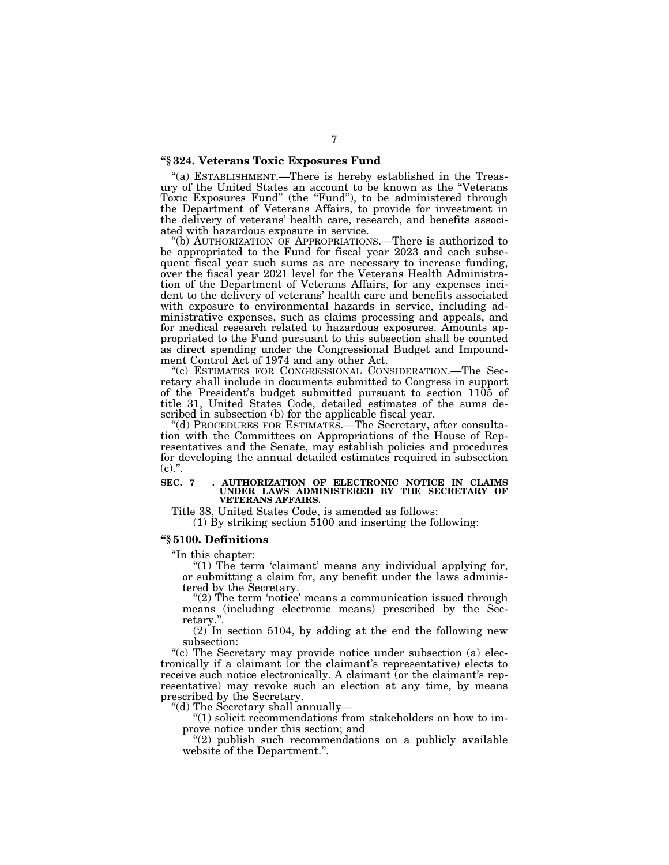# **''§ 324. Veterans Toxic Exposures Fund**

"(a) ESTABLISHMENT.—There is hereby established in the Treasury of the United States an account to be known as the ''Veterans Toxic Exposures Fund" (the "Fund"), to be administered through the Department of Veterans Affairs, to provide for investment in the delivery of veterans' health care, research, and benefits associated with hazardous exposure in service.

"(b) AUTHORIZATION OF APPROPRIATIONS.—There is authorized to be appropriated to the Fund for fiscal year 2023 and each subsequent fiscal year such sums as are necessary to increase funding, over the fiscal year 2021 level for the Veterans Health Administration of the Department of Veterans Affairs, for any expenses incident to the delivery of veterans' health care and benefits associated with exposure to environmental hazards in service, including administrative expenses, such as claims processing and appeals, and for medical research related to hazardous exposures. Amounts appropriated to the Fund pursuant to this subsection shall be counted as direct spending under the Congressional Budget and Impoundment Control Act of 1974 and any other Act.

''(c) ESTIMATES FOR CONGRESSIONAL CONSIDERATION.—The Secretary shall include in documents submitted to Congress in support of the President's budget submitted pursuant to section 1105 of title 31, United States Code, detailed estimates of the sums described in subsection (b) for the applicable fiscal year.

''(d) PROCEDURES FOR ESTIMATES.—The Secretary, after consultation with the Committees on Appropriations of the House of Representatives and the Senate, may establish policies and procedures for developing the annual detailed estimates required in subsection  $(c)$ .".

# **SEC. 7**ll**. AUTHORIZATION OF ELECTRONIC NOTICE IN CLAIMS UNDER LAWS ADMINISTERED BY THE SECRETARY OF VETERANS AFFAIRS.**

Title 38, United States Code, is amended as follows:

(1) By striking section 5100 and inserting the following:

## **''§ 5100. Definitions**

''In this chapter:

" $(1)$  The term 'claimant' means any individual applying for, or submitting a claim for, any benefit under the laws administered by the Secretary.

''(2) The term 'notice' means a communication issued through means (including electronic means) prescribed by the Secretary.

(2) In section 5104, by adding at the end the following new subsection:

"(c) The Secretary may provide notice under subsection (a) electronically if a claimant (or the claimant's representative) elects to receive such notice electronically. A claimant (or the claimant's representative) may revoke such an election at any time, by means prescribed by the Secretary.

''(d) The Secretary shall annually—

 $"(1)$  solicit recommendations from stakeholders on how to improve notice under this section; and

"(2) publish such recommendations on a publicly available website of the Department.''.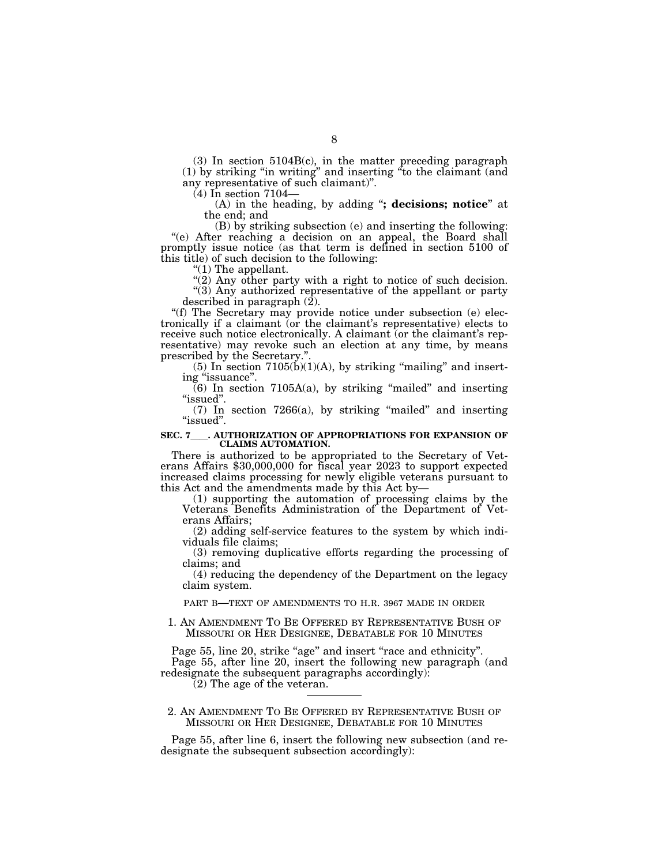(3) In section 5104B(c), in the matter preceding paragraph (1) by striking ''in writing'' and inserting ''to the claimant (and any representative of such claimant)''.

(4) In section 7104—

(A) in the heading, by adding ''**; decisions; notice**'' at the end; and

(B) by striking subsection (e) and inserting the following: ''(e) After reaching a decision on an appeal, the Board shall promptly issue notice (as that term is defined in section 5100 of this title) of such decision to the following:

" $(1)$  The appellant.

"(2) Any other party with a right to notice of such decision. "(3) Any authorized representative of the appellant or party described in paragraph (2).

''(f) The Secretary may provide notice under subsection (e) electronically if a claimant (or the claimant's representative) elects to receive such notice electronically. A claimant (or the claimant's representative) may revoke such an election at any time, by means prescribed by the Secretary.'

(5) In section  $7105(b)(1)(A)$ , by striking "mailing" and inserting "issuance".

 $(6)$  In section 7105A(a), by striking "mailed" and inserting "issued".

 $(7)$  In section 7266 $(a)$ , by striking "mailed" and inserting "issued".

### **SEC. 7**ll**. AUTHORIZATION OF APPROPRIATIONS FOR EXPANSION OF CLAIMS AUTOMATION.**

There is authorized to be appropriated to the Secretary of Vet- erans Affairs \$30,000,000 for fiscal year 2023 to support expected increased claims processing for newly eligible veterans pursuant to this Act and the amendments made by this Act by—

(1) supporting the automation of processing claims by the Veterans Benefits Administration of the Department of Veterans Affairs;

(2) adding self-service features to the system by which individuals file claims;

(3) removing duplicative efforts regarding the processing of claims; and

(4) reducing the dependency of the Department on the legacy claim system.

PART B—TEXT OF AMENDMENTS TO H.R. 3967 MADE IN ORDER

1. AN AMENDMENT TO BE OFFERED BY REPRESENTATIVE BUSH OF MISSOURI OR HER DESIGNEE, DEBATABLE FOR 10 MINUTES

Page 55, line 20, strike "age" and insert "race and ethnicity". Page 55, after line 20, insert the following new paragraph (and redesignate the subsequent paragraphs accordingly):

(2) The age of the veteran.

2. AN AMENDMENT TO BE OFFERED BY REPRESENTATIVE BUSH OF MISSOURI OR HER DESIGNEE, DEBATABLE FOR 10 MINUTES

Page 55, after line 6, insert the following new subsection (and redesignate the subsequent subsection accordingly):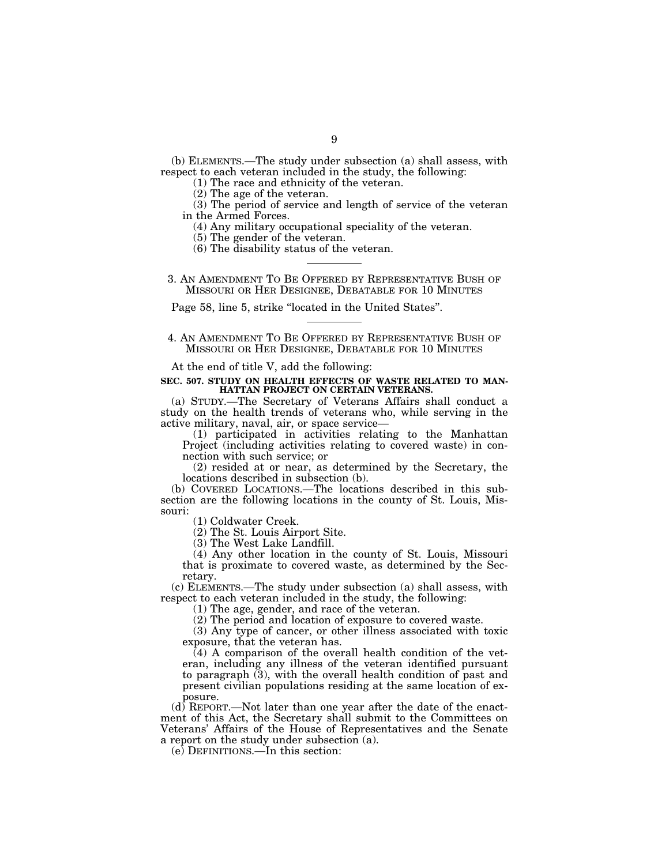(b) ELEMENTS.—The study under subsection (a) shall assess, with respect to each veteran included in the study, the following:

(1) The race and ethnicity of the veteran.

(2) The age of the veteran.

(3) The period of service and length of service of the veteran in the Armed Forces.

(4) Any military occupational speciality of the veteran.

(5) The gender of the veteran.

(6) The disability status of the veteran.

3. AN AMENDMENT TO BE OFFERED BY REPRESENTATIVE BUSH OF MISSOURI OR HER DESIGNEE, DEBATABLE FOR 10 MINUTES

Page 58, line 5, strike ''located in the United States''.

4. AN AMENDMENT TO BE OFFERED BY REPRESENTATIVE BUSH OF MISSOURI OR HER DESIGNEE, DEBATABLE FOR 10 MINUTES

At the end of title V, add the following:

### **SEC. 507. STUDY ON HEALTH EFFECTS OF WASTE RELATED TO MAN-HATTAN PROJECT ON CERTAIN VETERANS.**

(a) STUDY.—The Secretary of Veterans Affairs shall conduct a study on the health trends of veterans who, while serving in the active military, naval, air, or space service—

(1) participated in activities relating to the Manhattan Project (including activities relating to covered waste) in connection with such service; or

(2) resided at or near, as determined by the Secretary, the locations described in subsection (b).

(b) COVERED LOCATIONS.—The locations described in this subsection are the following locations in the county of St. Louis, Missouri:

(1) Coldwater Creek.

(2) The St. Louis Airport Site.

(3) The West Lake Landfill.

(4) Any other location in the county of St. Louis, Missouri that is proximate to covered waste, as determined by the Secretary.

(c) ELEMENTS.—The study under subsection (a) shall assess, with respect to each veteran included in the study, the following:

(1) The age, gender, and race of the veteran.

(2) The period and location of exposure to covered waste.

(3) Any type of cancer, or other illness associated with toxic exposure, that the veteran has.

 $(4)$  A comparison of the overall health condition of the veteran, including any illness of the veteran identified pursuant to paragraph (3), with the overall health condition of past and present civilian populations residing at the same location of exposure.

(d) REPORT.—Not later than one year after the date of the enactment of this Act, the Secretary shall submit to the Committees on Veterans' Affairs of the House of Representatives and the Senate a report on the study under subsection (a).

(e) DEFINITIONS.—In this section: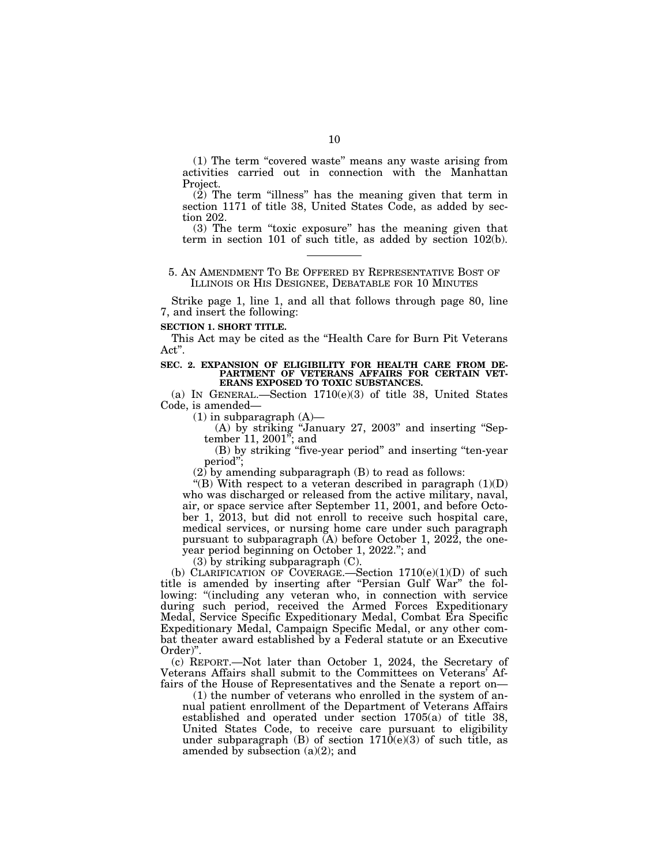(1) The term ''covered waste'' means any waste arising from activities carried out in connection with the Manhattan Project.

(2) The term ''illness'' has the meaning given that term in section 1171 of title 38, United States Code, as added by section 202.

(3) The term ''toxic exposure'' has the meaning given that term in section 101 of such title, as added by section 102(b).

# 5. AN AMENDMENT TO BE OFFERED BY REPRESENTATIVE BOST OF ILLINOIS OR HIS DESIGNEE, DEBATABLE FOR 10 MINUTES

Strike page 1, line 1, and all that follows through page 80, line 7, and insert the following:

### **SECTION 1. SHORT TITLE.**

This Act may be cited as the ''Health Care for Burn Pit Veterans Act''.

#### **SEC. 2. EXPANSION OF ELIGIBILITY FOR HEALTH CARE FROM DE-PARTMENT OF VETERANS AFFAIRS FOR CERTAIN VET-ERANS EXPOSED TO TOXIC SUBSTANCES.**

(a) IN GENERAL.—Section 1710(e)(3) of title 38, United States Code, is amended—

 $(1)$  in subparagraph  $(A)$ —

(A) by striking ''January 27, 2003'' and inserting ''September 11, 2001''; and

(B) by striking ''five-year period'' and inserting ''ten-year period'';

 $(2)$  by amending subparagraph  $(B)$  to read as follows:

"(B) With respect to a veteran described in paragraph  $(1)(D)$ who was discharged or released from the active military, naval, air, or space service after September 11, 2001, and before October 1, 2013, but did not enroll to receive such hospital care, medical services, or nursing home care under such paragraph pursuant to subparagraph (A) before October 1, 2022, the oneyear period beginning on October 1, 2022.''; and

(3) by striking subparagraph (C).

(b) CLARIFICATION OF COVERAGE.—Section  $1710(e)(1)(D)$  of such title is amended by inserting after "Persian Gulf War" the following: "(including any veteran who, in connection with service during such period, received the Armed Forces Expeditionary Medal, Service Specific Expeditionary Medal, Combat Era Specific Expeditionary Medal, Campaign Specific Medal, or any other combat theater award established by a Federal statute or an Executive Order)''.

(c) REPORT.—Not later than October 1, 2024, the Secretary of Veterans Affairs shall submit to the Committees on Veterans' Affairs of the House of Representatives and the Senate a report on—

(1) the number of veterans who enrolled in the system of annual patient enrollment of the Department of Veterans Affairs established and operated under section 1705(a) of title 38, United States Code, to receive care pursuant to eligibility under subparagraph  $(B)$  of section  $1710(e)(3)$  of such title, as amended by subsection (a)(2); and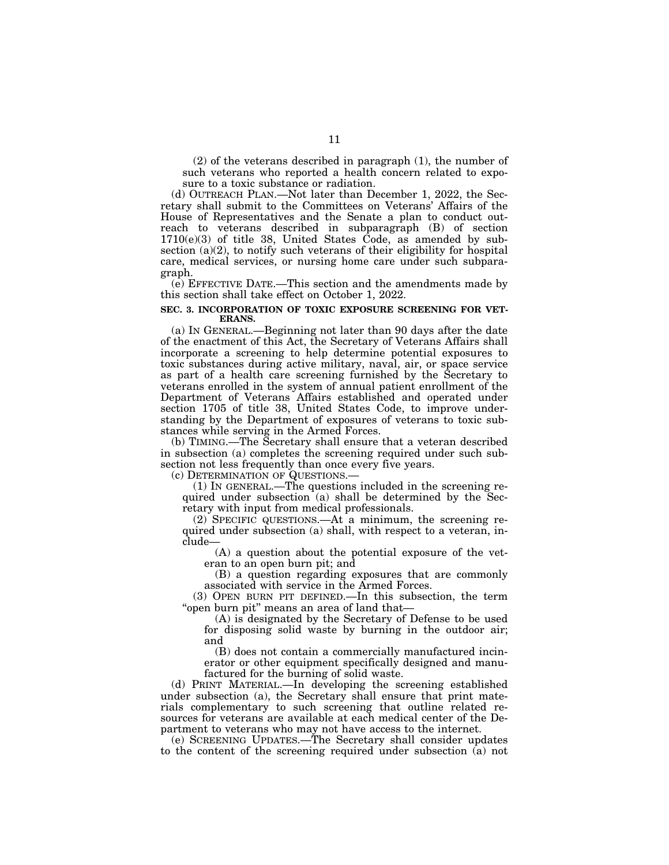(2) of the veterans described in paragraph (1), the number of such veterans who reported a health concern related to exposure to a toxic substance or radiation.

(d) OUTREACH PLAN.—Not later than December 1, 2022, the Secretary shall submit to the Committees on Veterans' Affairs of the House of Representatives and the Senate a plan to conduct outreach to veterans described in subparagraph (B) of section  $1710(e)(3)$  of title 38, United States Code, as amended by subsection  $(a)(2)$ , to notify such veterans of their eligibility for hospital care, medical services, or nursing home care under such subparagraph.

(e) EFFECTIVE DATE.—This section and the amendments made by this section shall take effect on October 1, 2022.

## **SEC. 3. INCORPORATION OF TOXIC EXPOSURE SCREENING FOR VET-ERANS.**

(a) IN GENERAL.—Beginning not later than 90 days after the date of the enactment of this Act, the Secretary of Veterans Affairs shall incorporate a screening to help determine potential exposures to toxic substances during active military, naval, air, or space service as part of a health care screening furnished by the Secretary to veterans enrolled in the system of annual patient enrollment of the Department of Veterans Affairs established and operated under section 1705 of title 38, United States Code, to improve understanding by the Department of exposures of veterans to toxic substances while serving in the Armed Forces.

(b) TIMING.—The Secretary shall ensure that a veteran described in subsection (a) completes the screening required under such subsection not less frequently than once every five years.

(c) DETERMINATION OF QUESTIONS.—

(1) IN GENERAL.—The questions included in the screening required under subsection (a) shall be determined by the Secretary with input from medical professionals.

(2) SPECIFIC QUESTIONS.—At a minimum, the screening required under subsection (a) shall, with respect to a veteran, include—

(A) a question about the potential exposure of the veteran to an open burn pit; and

(B) a question regarding exposures that are commonly associated with service in the Armed Forces.

(3) OPEN BURN PIT DEFINED.—In this subsection, the term "open burn pit" means an area of land that-

(A) is designated by the Secretary of Defense to be used for disposing solid waste by burning in the outdoor air; and

(B) does not contain a commercially manufactured incinerator or other equipment specifically designed and manufactured for the burning of solid waste.

(d) PRINT MATERIAL.—In developing the screening established under subsection (a), the Secretary shall ensure that print materials complementary to such screening that outline related resources for veterans are available at each medical center of the Department to veterans who may not have access to the internet.

(e) SCREENING UPDATES.—The Secretary shall consider updates to the content of the screening required under subsection (a) not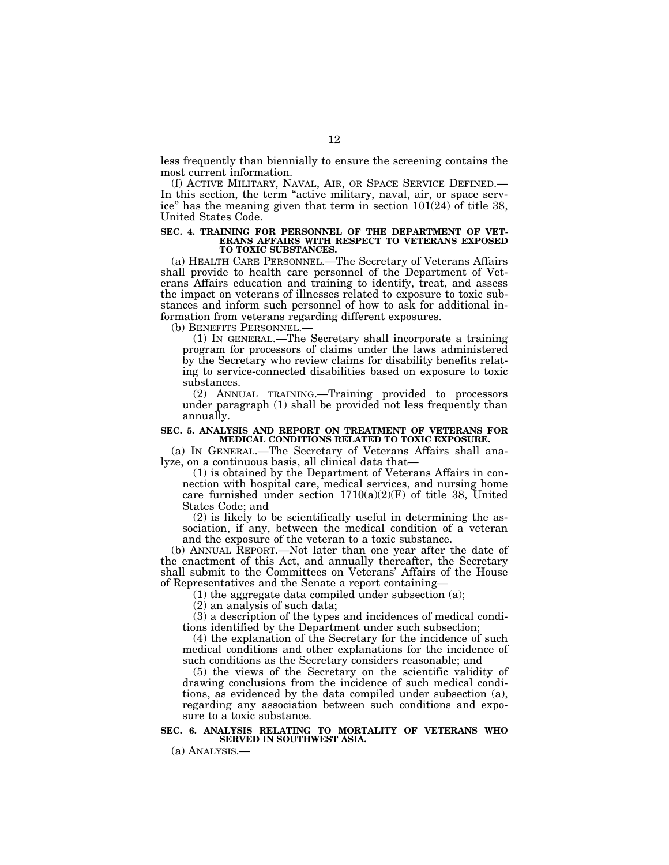less frequently than biennially to ensure the screening contains the most current information.

(f) ACTIVE MILITARY, NAVAL, AIR, OR SPACE SERVICE DEFINED.— In this section, the term "active military, naval, air, or space service'' has the meaning given that term in section 101(24) of title 38, United States Code.

#### **SEC. 4. TRAINING FOR PERSONNEL OF THE DEPARTMENT OF VET-ERANS AFFAIRS WITH RESPECT TO VETERANS EXPOSED TO TOXIC SUBSTANCES.**

(a) HEALTH CARE PERSONNEL.—The Secretary of Veterans Affairs shall provide to health care personnel of the Department of Veterans Affairs education and training to identify, treat, and assess the impact on veterans of illnesses related to exposure to toxic substances and inform such personnel of how to ask for additional information from veterans regarding different exposures.

(b) BENEFITS PERSONNEL.—

(1) IN GENERAL.—The Secretary shall incorporate a training program for processors of claims under the laws administered by the Secretary who review claims for disability benefits relating to service-connected disabilities based on exposure to toxic substances.

(2) ANNUAL TRAINING.—Training provided to processors under paragraph (1) shall be provided not less frequently than annually.

## **SEC. 5. ANALYSIS AND REPORT ON TREATMENT OF VETERANS FOR MEDICAL CONDITIONS RELATED TO TOXIC EXPOSURE.**

(a) IN GENERAL.—The Secretary of Veterans Affairs shall analyze, on a continuous basis, all clinical data that—

(1) is obtained by the Department of Veterans Affairs in connection with hospital care, medical services, and nursing home care furnished under section  $1710(a)(2)(F)$  of title 38, United States Code; and

(2) is likely to be scientifically useful in determining the association, if any, between the medical condition of a veteran and the exposure of the veteran to a toxic substance.

(b) ANNUAL REPORT.—Not later than one year after the date of the enactment of this Act, and annually thereafter, the Secretary shall submit to the Committees on Veterans' Affairs of the House of Representatives and the Senate a report containing—

(1) the aggregate data compiled under subsection (a);

(2) an analysis of such data;

(3) a description of the types and incidences of medical conditions identified by the Department under such subsection;

(4) the explanation of the Secretary for the incidence of such medical conditions and other explanations for the incidence of such conditions as the Secretary considers reasonable; and

(5) the views of the Secretary on the scientific validity of drawing conclusions from the incidence of such medical conditions, as evidenced by the data compiled under subsection (a), regarding any association between such conditions and exposure to a toxic substance.

# **SEC. 6. ANALYSIS RELATING TO MORTALITY OF VETERANS WHO SERVED IN SOUTHWEST ASIA.**

(a) ANALYSIS.—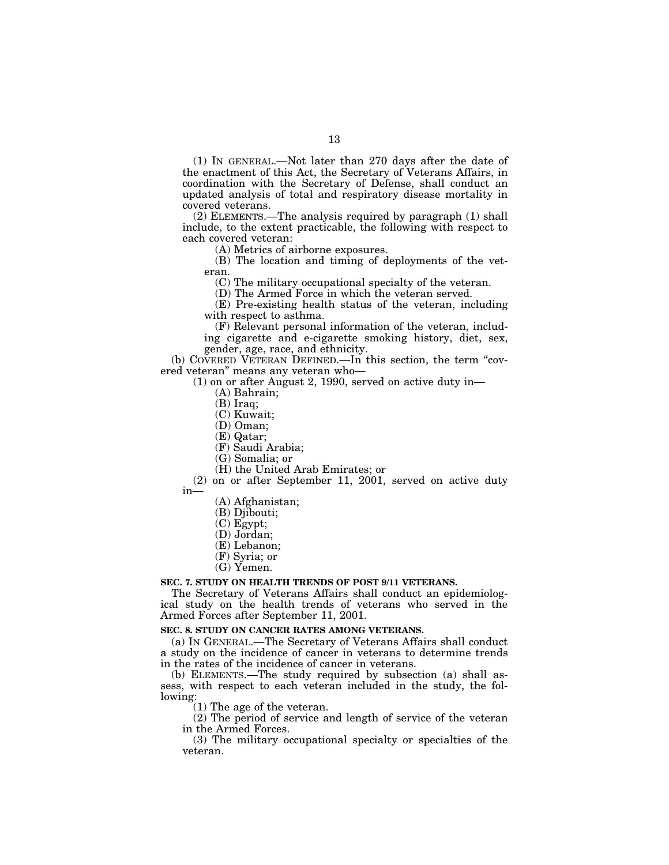(1) IN GENERAL.—Not later than 270 days after the date of the enactment of this Act, the Secretary of Veterans Affairs, in coordination with the Secretary of Defense, shall conduct an updated analysis of total and respiratory disease mortality in covered veterans.

(2) ELEMENTS.—The analysis required by paragraph (1) shall include, to the extent practicable, the following with respect to each covered veteran:

(A) Metrics of airborne exposures.

(B) The location and timing of deployments of the veteran.

(C) The military occupational specialty of the veteran.

(D) The Armed Force in which the veteran served.

(E) Pre-existing health status of the veteran, including with respect to asthma.

(F) Relevant personal information of the veteran, including cigarette and e-cigarette smoking history, diet, sex,

gender, age, race, and ethnicity.

(b) COVERED VETERAN DEFINED.—In this section, the term ''covered veteran'' means any veteran who—

(1) on or after August 2, 1990, served on active duty in—

- (A) Bahrain;
- (B) Iraq;
- (C) Kuwait;
- (D) Oman;
- (E) Qatar;
- (F) Saudi Arabia;
- (G) Somalia; or
- (H) the United Arab Emirates; or

(2) on or after September 11, 2001, served on active duty in—

(A) Afghanistan;

- (B) Djibouti;
- (C) Egypt;
- (D) Jordan;
- (E) Lebanon;
- (F) Syria; or
- (G) Yemen.

## **SEC. 7. STUDY ON HEALTH TRENDS OF POST 9/11 VETERANS.**

The Secretary of Veterans Affairs shall conduct an epidemiological study on the health trends of veterans who served in the Armed Forces after September 11, 2001.

# **SEC. 8. STUDY ON CANCER RATES AMONG VETERANS.**

(a) IN GENERAL.—The Secretary of Veterans Affairs shall conduct a study on the incidence of cancer in veterans to determine trends in the rates of the incidence of cancer in veterans.

(b) ELEMENTS.—The study required by subsection (a) shall assess, with respect to each veteran included in the study, the following:

(1) The age of the veteran.

(2) The period of service and length of service of the veteran in the Armed Forces.

(3) The military occupational specialty or specialties of the veteran.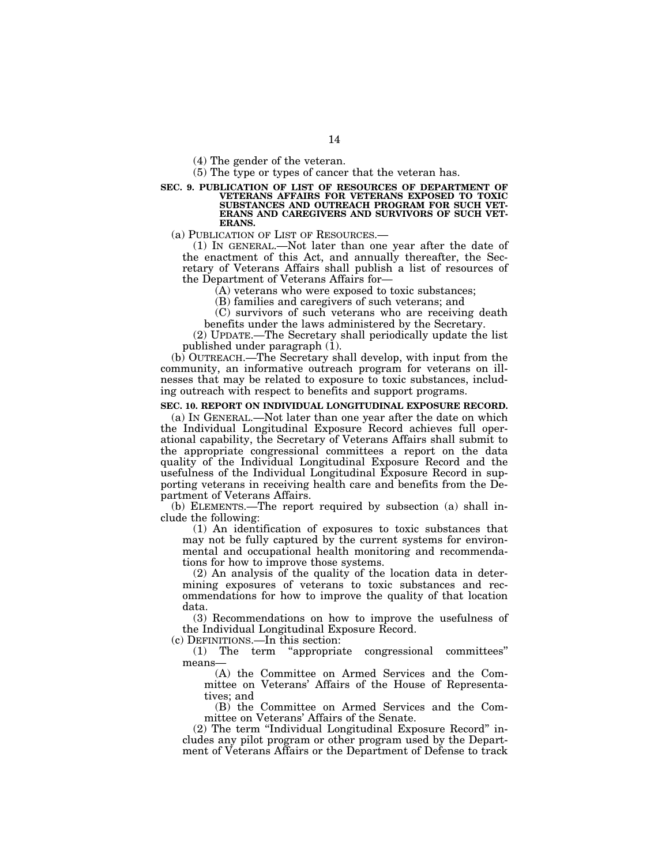(4) The gender of the veteran.

(5) The type or types of cancer that the veteran has.

#### **SEC. 9. PUBLICATION OF LIST OF RESOURCES OF DEPARTMENT OF VETERANS AFFAIRS FOR VETERANS EXPOSED TO TOXIC SUBSTANCES AND OUTREACH PROGRAM FOR SUCH VET-ERANS AND CAREGIVERS AND SURVIVORS OF SUCH VET-ERANS.**

(a) PUBLICATION OF LIST OF RESOURCES.—

(1) IN GENERAL.—Not later than one year after the date of the enactment of this Act, and annually thereafter, the Secretary of Veterans Affairs shall publish a list of resources of the Department of Veterans Affairs for—

(A) veterans who were exposed to toxic substances;

(B) families and caregivers of such veterans; and

(C) survivors of such veterans who are receiving death benefits under the laws administered by the Secretary.

(2) UPDATE.—The Secretary shall periodically update the list published under paragraph (1).

(b) OUTREACH.—The Secretary shall develop, with input from the community, an informative outreach program for veterans on illnesses that may be related to exposure to toxic substances, including outreach with respect to benefits and support programs.

#### **SEC. 10. REPORT ON INDIVIDUAL LONGITUDINAL EXPOSURE RECORD.**

(a) IN GENERAL.—Not later than one year after the date on which the Individual Longitudinal Exposure Record achieves full operational capability, the Secretary of Veterans Affairs shall submit to the appropriate congressional committees a report on the data quality of the Individual Longitudinal Exposure Record and the usefulness of the Individual Longitudinal Exposure Record in supporting veterans in receiving health care and benefits from the Department of Veterans Affairs.

(b) ELEMENTS.—The report required by subsection (a) shall include the following:

(1) An identification of exposures to toxic substances that may not be fully captured by the current systems for environmental and occupational health monitoring and recommendations for how to improve those systems.

(2) An analysis of the quality of the location data in determining exposures of veterans to toxic substances and recommendations for how to improve the quality of that location data.

(3) Recommendations on how to improve the usefulness of the Individual Longitudinal Exposure Record.

(c) DEFINITIONS.—In this section:

(1) The term ''appropriate congressional committees'' means—

(A) the Committee on Armed Services and the Committee on Veterans' Affairs of the House of Representatives; and

(B) the Committee on Armed Services and the Committee on Veterans' Affairs of the Senate.

(2) The term ''Individual Longitudinal Exposure Record'' includes any pilot program or other program used by the Department of Veterans Affairs or the Department of Defense to track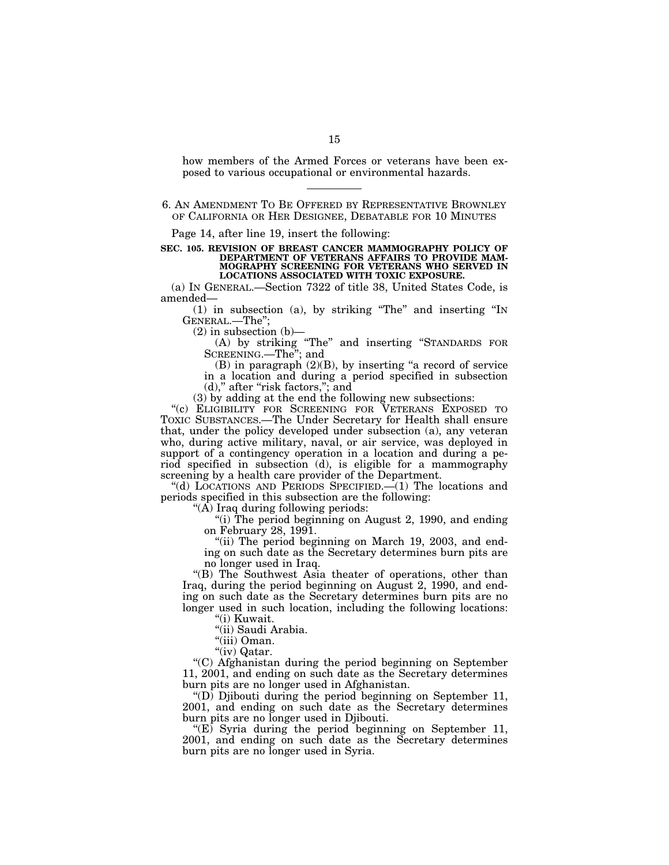how members of the Armed Forces or veterans have been exposed to various occupational or environmental hazards.

Page 14, after line 19, insert the following:

**SEC. 105. REVISION OF BREAST CANCER MAMMOGRAPHY POLICY OF DEPARTMENT OF VETERANS AFFAIRS TO PROVIDE MAM-MOGRAPHY SCREENING FOR VETERANS WHO SERVED IN LOCATIONS ASSOCIATED WITH TOXIC EXPOSURE.** 

(a) IN GENERAL.—Section 7322 of title 38, United States Code, is amended—

(1) in subsection (a), by striking ''The'' and inserting ''IN GENERAL.—The'';

 $(2)$  in subsection  $(b)$ –

(A) by striking ''The'' and inserting ''STANDARDS FOR SCREENING.—The''; and

 $(B)$  in paragraph  $(2)(B)$ , by inserting "a record of service in a location and during a period specified in subsection (d)," after "risk factors,"; and

(3) by adding at the end the following new subsections:

"(c) ELIGIBILITY FOR SCREENING FOR VETERANS EXPOSED TO TOXIC SUBSTANCES.—The Under Secretary for Health shall ensure that, under the policy developed under subsection (a), any veteran who, during active military, naval, or air service, was deployed in support of a contingency operation in a location and during a period specified in subsection (d), is eligible for a mammography screening by a health care provider of the Department.

''(d) LOCATIONS AND PERIODS SPECIFIED.—(1) The locations and periods specified in this subsection are the following:

''(A) Iraq during following periods:

"(i) The period beginning on August 2, 1990, and ending on February 28, 1991.

"(ii) The period beginning on March 19, 2003, and ending on such date as the Secretary determines burn pits are no longer used in Iraq.

''(B) The Southwest Asia theater of operations, other than Iraq, during the period beginning on August 2, 1990, and ending on such date as the Secretary determines burn pits are no longer used in such location, including the following locations:

''(i) Kuwait.

''(ii) Saudi Arabia.

''(iii) Oman.

"(iv) Qatar.

''(C) Afghanistan during the period beginning on September 11, 2001, and ending on such date as the Secretary determines burn pits are no longer used in Afghanistan.

" $(D)$  Djibouti during the period beginning on September 11, 2001, and ending on such date as the Secretary determines burn pits are no longer used in Djibouti.

 $E(E)$  Syria during the period beginning on September 11, 2001, and ending on such date as the Secretary determines burn pits are no longer used in Syria.

<sup>6.</sup> AN AMENDMENT TO BE OFFERED BY REPRESENTATIVE BROWNLEY OF CALIFORNIA OR HER DESIGNEE, DEBATABLE FOR 10 MINUTES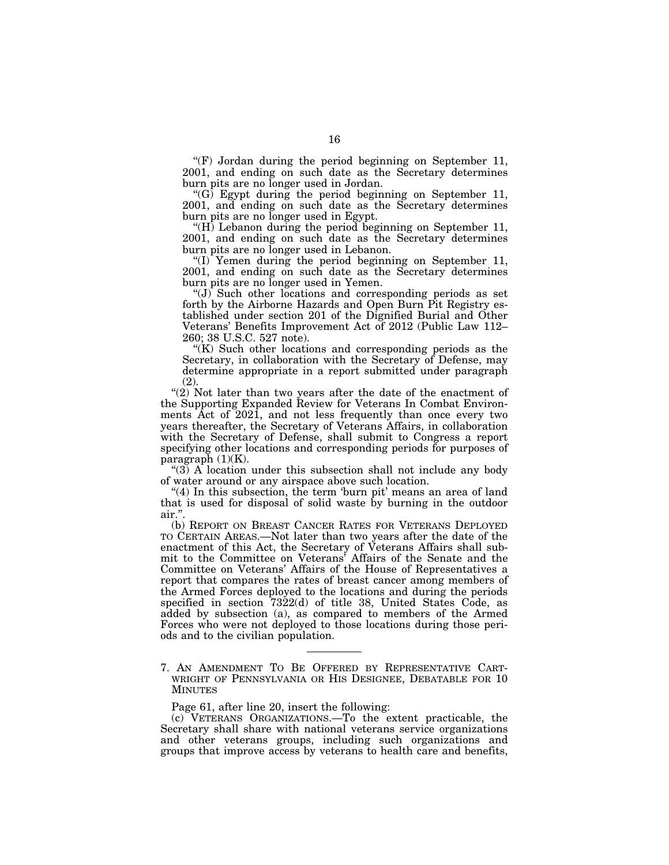$F(F)$  Jordan during the period beginning on September 11, 2001, and ending on such date as the Secretary determines burn pits are no longer used in Jordan.

" $(G)$  Egypt during the period beginning on September 11, 2001, and ending on such date as the Secretary determines burn pits are no longer used in Egypt.

 $H$ ) Lebanon during the period beginning on September 11, 2001, and ending on such date as the Secretary determines burn pits are no longer used in Lebanon.

''(I) Yemen during the period beginning on September 11, 2001, and ending on such date as the Secretary determines burn pits are no longer used in Yemen.

 $\mathcal{L}(J)$  Such other locations and corresponding periods as set forth by the Airborne Hazards and Open Burn Pit Registry established under section 201 of the Dignified Burial and Other Veterans' Benefits Improvement Act of 2012 (Public Law 112– 260; 38 U.S.C. 527 note).

 $K(K)$  Such other locations and corresponding periods as the Secretary, in collaboration with the Secretary of Defense, may determine appropriate in a report submitted under paragraph (2).

"(2) Not later than two years after the date of the enactment of the Supporting Expanded Review for Veterans In Combat Environments Act of 2021, and not less frequently than once every two years thereafter, the Secretary of Veterans Affairs, in collaboration with the Secretary of Defense, shall submit to Congress a report specifying other locations and corresponding periods for purposes of paragraph (1)(K).

" $(3)$  A location under this subsection shall not include any body of water around or any airspace above such location.

" $(4)$  In this subsection, the term 'burn pit' means an area of land that is used for disposal of solid waste by burning in the outdoor air.''.

(b) REPORT ON BREAST CANCER RATES FOR VETERANS DEPLOYED TO CERTAIN AREAS.—Not later than two years after the date of the enactment of this Act, the Secretary of Veterans Affairs shall submit to the Committee on Veterans' Affairs of the Senate and the Committee on Veterans' Affairs of the House of Representatives a report that compares the rates of breast cancer among members of the Armed Forces deployed to the locations and during the periods specified in section 7322(d) of title 38, United States Code, as added by subsection (a), as compared to members of the Armed Forces who were not deployed to those locations during those periods and to the civilian population.

Page 61, after line 20, insert the following:

(c) VETERANS ORGANIZATIONS.—To the extent practicable, the Secretary shall share with national veterans service organizations and other veterans groups, including such organizations and groups that improve access by veterans to health care and benefits,

<sup>7.</sup> AN AMENDMENT TO BE OFFERED BY REPRESENTATIVE CART-WRIGHT OF PENNSYLVANIA OR HIS DESIGNEE, DEBATABLE FOR 10 MINUTES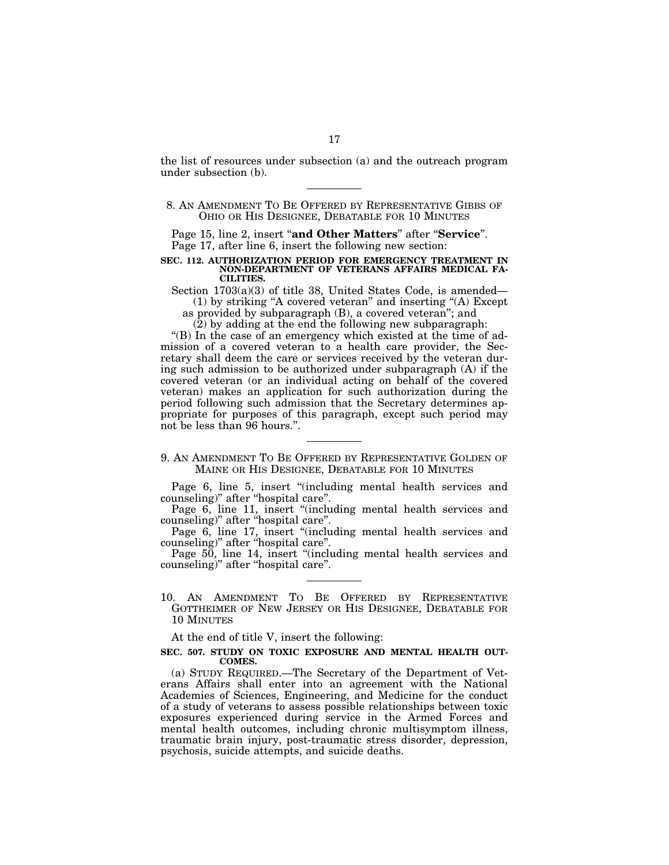the list of resources under subsection (a) and the outreach program under subsection (b).

Page 15, line 2, insert "and Other Matters" after "Service". Page 17, after line 6, insert the following new section:

#### **SEC. 112. AUTHORIZATION PERIOD FOR EMERGENCY TREATMENT IN NON-DEPARTMENT OF VETERANS AFFAIRS MEDICAL FA-CILITIES.**

Section  $1703(a)(3)$  of title 38, United States Code, is amended— (1) by striking ''A covered veteran'' and inserting ''(A) Except as provided by subparagraph (B), a covered veteran''; and

(2) by adding at the end the following new subparagraph:

"(B) In the case of an emergency which existed at the time of admission of a covered veteran to a health care provider, the Secretary shall deem the care or services received by the veteran during such admission to be authorized under subparagraph (A) if the covered veteran (or an individual acting on behalf of the covered veteran) makes an application for such authorization during the period following such admission that the Secretary determines appropriate for purposes of this paragraph, except such period may not be less than 96 hours.''.

9. AN AMENDMENT TO BE OFFERED BY REPRESENTATIVE GOLDEN OF MAINE OR HIS DESIGNEE, DEBATABLE FOR 10 MINUTES

Page 6, line 5, insert "(including mental health services and counseling)'' after ''hospital care''.

Page 6, line 11, insert "(including mental health services and counseling)'' after ''hospital care''.

Page 6, line 17, insert "(including mental health services and counseling)'' after ''hospital care''.

Page 50, line 14, insert "(including mental health services and counseling)'' after ''hospital care''.

10. AN AMENDMENT TO BE OFFERED BY REPRESENTATIVE GOTTHEIMER OF NEW JERSEY OR HIS DESIGNEE, DEBATABLE FOR 10 MINUTES

At the end of title V, insert the following:

### **SEC. 507. STUDY ON TOXIC EXPOSURE AND MENTAL HEALTH OUT-COMES.**

(a) STUDY REQUIRED.—The Secretary of the Department of Veterans Affairs shall enter into an agreement with the National Academies of Sciences, Engineering, and Medicine for the conduct of a study of veterans to assess possible relationships between toxic exposures experienced during service in the Armed Forces and mental health outcomes, including chronic multisymptom illness, traumatic brain injury, post-traumatic stress disorder, depression, psychosis, suicide attempts, and suicide deaths.

<sup>8.</sup> AN AMENDMENT TO BE OFFERED BY REPRESENTATIVE GIBBS OF OHIO OR HIS DESIGNEE, DEBATABLE FOR 10 MINUTES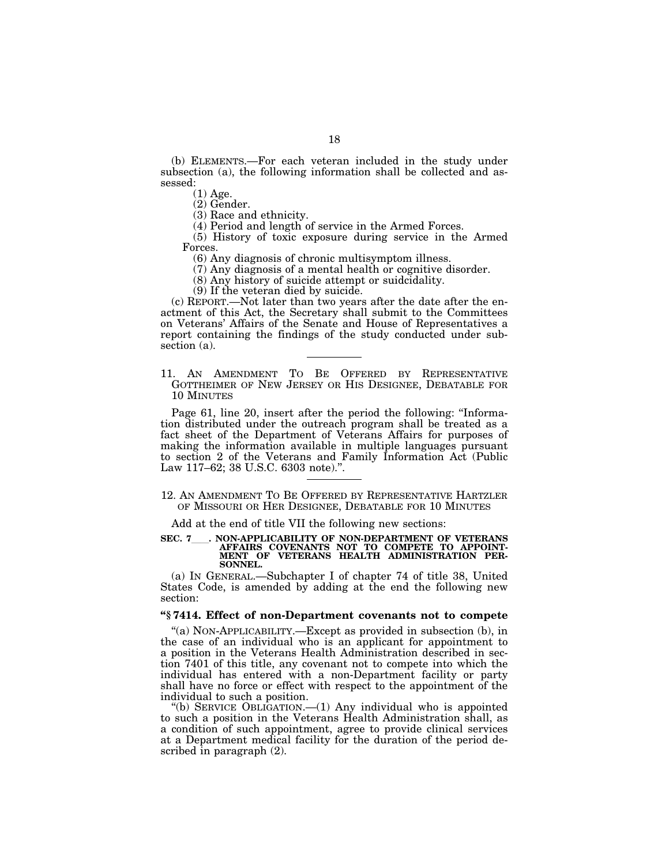(b) ELEMENTS.—For each veteran included in the study under subsection (a), the following information shall be collected and assessed:

(1) Age.

(2) Gender.

(3) Race and ethnicity.

(4) Period and length of service in the Armed Forces.

(5) History of toxic exposure during service in the Armed Forces.

(6) Any diagnosis of chronic multisymptom illness.

(7) Any diagnosis of a mental health or cognitive disorder.

(8) Any history of suicide attempt or suidcidality.

(9) If the veteran died by suicide.

(c) REPORT.—Not later than two years after the date after the enactment of this Act, the Secretary shall submit to the Committees on Veterans' Affairs of the Senate and House of Representatives a report containing the findings of the study conducted under subsection (a).

11. AN AMENDMENT TO BE OFFERED BY REPRESENTATIVE GOTTHEIMER OF NEW JERSEY OR HIS DESIGNEE, DEBATABLE FOR 10 MINUTES

Page 61, line 20, insert after the period the following: "Information distributed under the outreach program shall be treated as a fact sheet of the Department of Veterans Affairs for purposes of making the information available in multiple languages pursuant to section 2 of the Veterans and Family Information Act (Public Law 117–62; 38 U.S.C. 6303 note).''.

12. AN AMENDMENT TO BE OFFERED BY REPRESENTATIVE HARTZLER OF MISSOURI OR HER DESIGNEE, DEBATABLE FOR 10 MINUTES

Add at the end of title VII the following new sections:

# SEC. 7\_\_\_\_. NON-APPLICABILITY OF NON-DEPARTMENT OF VETERANS<br>AFFAIRS COVENANTS NOT TO COMPETE TO APPOINT-**MENT OF VETERANS HEALTH ADMINISTRATION PER-SONNEL.**

(a) IN GENERAL.—Subchapter I of chapter 74 of title 38, United States Code, is amended by adding at the end the following new section:

# **''§ 7414. Effect of non-Department covenants not to compete**

''(a) NON-APPLICABILITY.—Except as provided in subsection (b), in the case of an individual who is an applicant for appointment to a position in the Veterans Health Administration described in section 7401 of this title, any covenant not to compete into which the individual has entered with a non-Department facility or party shall have no force or effect with respect to the appointment of the individual to such a position.

''(b) SERVICE OBLIGATION.—(1) Any individual who is appointed to such a position in the Veterans Health Administration shall, as a condition of such appointment, agree to provide clinical services at a Department medical facility for the duration of the period described in paragraph (2).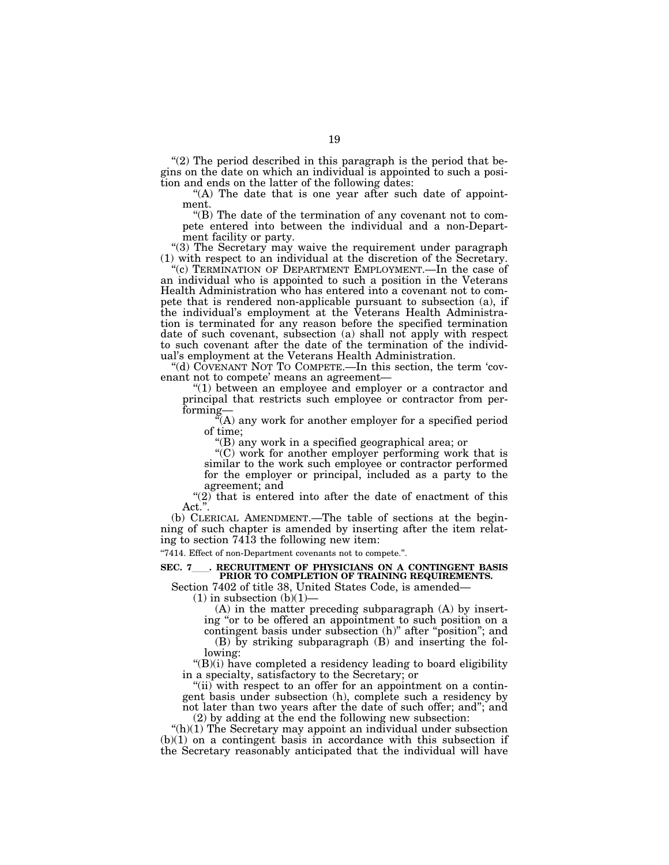" $(2)$  The period described in this paragraph is the period that begins on the date on which an individual is appointed to such a position and ends on the latter of the following dates:

"(A) The date that is one year after such date of appointment.

''(B) The date of the termination of any covenant not to compete entered into between the individual and a non-Department facility or party.

"(3) The Secretary may waive the requirement under paragraph (1) with respect to an individual at the discretion of the Secretary.

''(c) TERMINATION OF DEPARTMENT EMPLOYMENT.—In the case of an individual who is appointed to such a position in the Veterans Health Administration who has entered into a covenant not to compete that is rendered non-applicable pursuant to subsection (a), if the individual's employment at the Veterans Health Administration is terminated for any reason before the specified termination date of such covenant, subsection (a) shall not apply with respect to such covenant after the date of the termination of the individual's employment at the Veterans Health Administration.

"(d) COVENANT NOT TO COMPETE.—In this section, the term 'covenant not to compete' means an agreement—

''(1) between an employee and employer or a contractor and principal that restricts such employee or contractor from performing—

''(A) any work for another employer for a specified period of time;

''(B) any work in a specified geographical area; or

''(C) work for another employer performing work that is similar to the work such employee or contractor performed for the employer or principal, included as a party to the agreement; and

" $(2)$  that is entered into after the date of enactment of this Act.''.

(b) CLERICAL AMENDMENT.—The table of sections at the beginning of such chapter is amended by inserting after the item relating to section 7413 the following new item:

''7414. Effect of non-Department covenants not to compete.''.

# **SEC. 7**ll**. RECRUITMENT OF PHYSICIANS ON A CONTINGENT BASIS PRIOR TO COMPLETION OF TRAINING REQUIREMENTS.**

Section 7402 of title 38, United States Code, is amended—

 $(1)$  in subsection  $(b)(1)$ 

(A) in the matter preceding subparagraph (A) by inserting ''or to be offered an appointment to such position on a contingent basis under subsection (h)" after "position"; and

(B) by striking subparagraph (B) and inserting the following:

''(B)(i) have completed a residency leading to board eligibility in a specialty, satisfactory to the Secretary; or

"(ii) with respect to an offer for an appointment on a contingent basis under subsection (h), complete such a residency by not later than two years after the date of such offer; and''; and (2) by adding at the end the following new subsection:

" $(h)(1)$  The Secretary may appoint an individual under subsection  $(b)(1)$  on a contingent basis in accordance with this subsection if the Secretary reasonably anticipated that the individual will have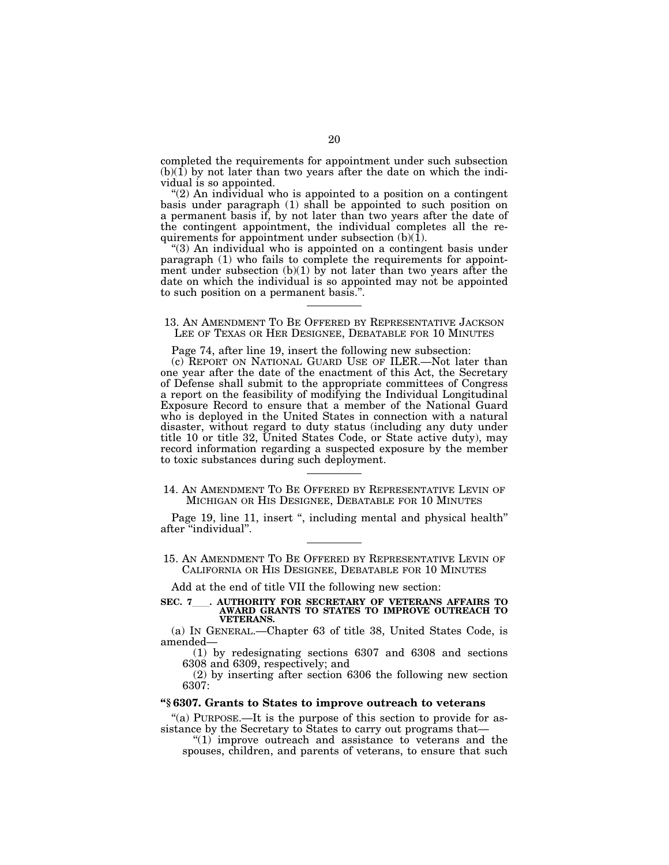completed the requirements for appointment under such subsection  $(b)(1)$  by not later than two years after the date on which the individual is so appointed.

 $(2)$  An individual who is appointed to a position on a contingent basis under paragraph (1) shall be appointed to such position on a permanent basis if, by not later than two years after the date of the contingent appointment, the individual completes all the requirements for appointment under subsection  $(b)(1)$ .

''(3) An individual who is appointed on a contingent basis under paragraph (1) who fails to complete the requirements for appointment under subsection  $(b)(1)$  by not later than two years after the date on which the individual is so appointed may not be appointed to such position on a permanent basis.''.

# 13. AN AMENDMENT TO BE OFFERED BY REPRESENTATIVE JACKSON LEE OF TEXAS OR HER DESIGNEE, DEBATABLE FOR 10 MINUTES

Page 74, after line 19, insert the following new subsection:

(c) REPORT ON NATIONAL GUARD USE OF ILER.—Not later than one year after the date of the enactment of this Act, the Secretary of Defense shall submit to the appropriate committees of Congress a report on the feasibility of modifying the Individual Longitudinal Exposure Record to ensure that a member of the National Guard who is deployed in the United States in connection with a natural disaster, without regard to duty status (including any duty under title 10 or title 32, United States Code, or State active duty), may record information regarding a suspected exposure by the member to toxic substances during such deployment.

# 14. AN AMENDMENT TO BE OFFERED BY REPRESENTATIVE LEVIN OF MICHIGAN OR HIS DESIGNEE, DEBATABLE FOR 10 MINUTES

Page 19, line 11, insert ", including mental and physical health" after ''individual''.

15. AN AMENDMENT TO BE OFFERED BY REPRESENTATIVE LEVIN OF CALIFORNIA OR HIS DESIGNEE, DEBATABLE FOR 10 MINUTES

Add at the end of title VII the following new section:

# **SEC. 7**ll**. AUTHORITY FOR SECRETARY OF VETERANS AFFAIRS TO AWARD GRANTS TO STATES TO IMPROVE OUTREACH TO VETERANS.**

(a) IN GENERAL.—Chapter 63 of title 38, United States Code, is amended—

(1) by redesignating sections 6307 and 6308 and sections 6308 and 6309, respectively; and

(2) by inserting after section 6306 the following new section 6307:

# **''§ 6307. Grants to States to improve outreach to veterans**

''(a) PURPOSE.—It is the purpose of this section to provide for assistance by the Secretary to States to carry out programs that—

 $''(1)$  improve outreach and assistance to veterans and the spouses, children, and parents of veterans, to ensure that such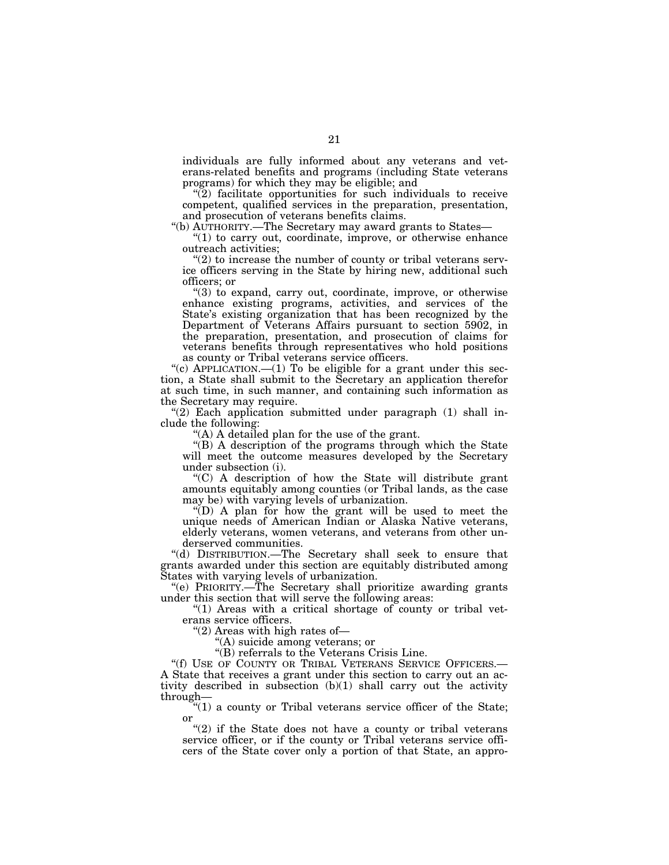individuals are fully informed about any veterans and veterans-related benefits and programs (including State veterans programs) for which they may be eligible; and

 $\tilde{P}$ ) facilitate opportunities for such individuals to receive competent, qualified services in the preparation, presentation, and prosecution of veterans benefits claims.

''(b) AUTHORITY.—The Secretary may award grants to States—

''(1) to carry out, coordinate, improve, or otherwise enhance outreach activities;

 $''(2)$  to increase the number of county or tribal veterans service officers serving in the State by hiring new, additional such officers; or

''(3) to expand, carry out, coordinate, improve, or otherwise enhance existing programs, activities, and services of the State's existing organization that has been recognized by the Department of Veterans Affairs pursuant to section 5902, in the preparation, presentation, and prosecution of claims for veterans benefits through representatives who hold positions as county or Tribal veterans service officers.

"(c) APPLICATION. $-(1)$  To be eligible for a grant under this section, a State shall submit to the Secretary an application therefor at such time, in such manner, and containing such information as the Secretary may require.

 $''(2)$  Each application submitted under paragraph  $(1)$  shall include the following:

''(A) A detailed plan for the use of the grant.

''(B) A description of the programs through which the State will meet the outcome measures developed by the Secretary under subsection (i).

''(C) A description of how the State will distribute grant amounts equitably among counties (or Tribal lands, as the case may be) with varying levels of urbanization.

''(D) A plan for how the grant will be used to meet the unique needs of American Indian or Alaska Native veterans, elderly veterans, women veterans, and veterans from other underserved communities.

''(d) DISTRIBUTION.—The Secretary shall seek to ensure that grants awarded under this section are equitably distributed among States with varying levels of urbanization.

''(e) PRIORITY.—The Secretary shall prioritize awarding grants under this section that will serve the following areas:

" $(1)$  Areas with a critical shortage of county or tribal veterans service officers.

''(2) Areas with high rates of—

''(A) suicide among veterans; or

''(B) referrals to the Veterans Crisis Line.

"(f) USE OF COUNTY OR TRIBAL VETERANS SERVICE OFFICERS.— A State that receives a grant under this section to carry out an activity described in subsection (b)(1) shall carry out the activity through—

 $f''(1)$  a county or Tribal veterans service officer of the State; or

" $(2)$  if the State does not have a county or tribal veterans service officer, or if the county or Tribal veterans service officers of the State cover only a portion of that State, an appro-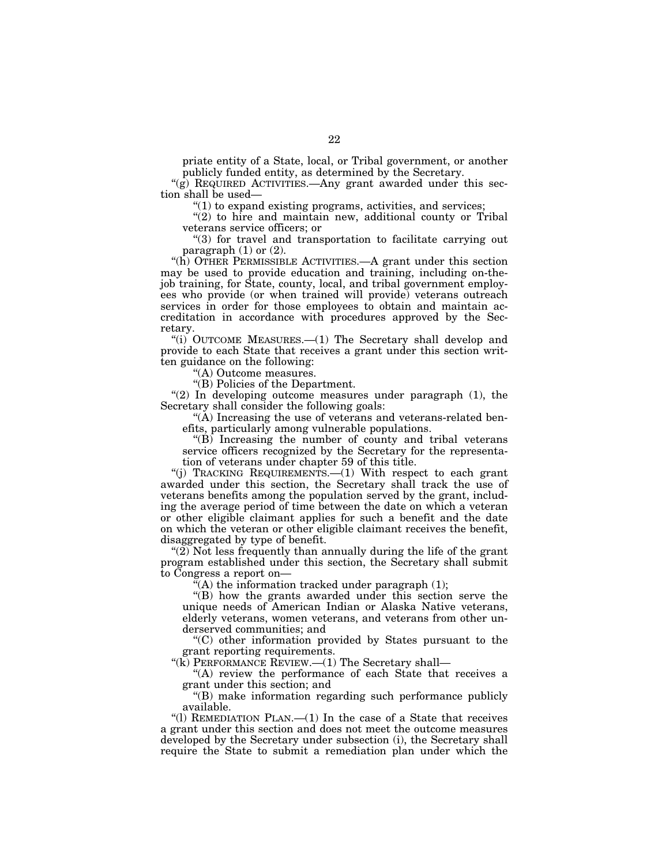priate entity of a State, local, or Tribal government, or another publicly funded entity, as determined by the Secretary.

"(g) REQUIRED ACTIVITIES.—Any grant awarded under this section shall be used—

 $"(1)$  to expand existing programs, activities, and services;

"(2) to hire and maintain new, additional county or Tribal veterans service officers; or

''(3) for travel and transportation to facilitate carrying out paragraph  $(1)$  or  $(2)$ .

''(h) OTHER PERMISSIBLE ACTIVITIES.—A grant under this section may be used to provide education and training, including on-thejob training, for State, county, local, and tribal government employees who provide (or when trained will provide) veterans outreach services in order for those employees to obtain and maintain accreditation in accordance with procedures approved by the Secretary.

"(i) OUTCOME MEASURES.—(1) The Secretary shall develop and provide to each State that receives a grant under this section written guidance on the following:

'(A) Outcome measures.

''(B) Policies of the Department.

" $(2)$  In developing outcome measures under paragraph  $(1)$ , the Secretary shall consider the following goals:

"(A) Increasing the use of veterans and veterans-related benefits, particularly among vulnerable populations.

''(B) Increasing the number of county and tribal veterans service officers recognized by the Secretary for the representation of veterans under chapter 59 of this title.

''(j) TRACKING REQUIREMENTS.—(1) With respect to each grant awarded under this section, the Secretary shall track the use of veterans benefits among the population served by the grant, including the average period of time between the date on which a veteran or other eligible claimant applies for such a benefit and the date on which the veteran or other eligible claimant receives the benefit, disaggregated by type of benefit.

" $(2)$  Not less frequently than annually during the life of the grant program established under this section, the Secretary shall submit to Congress a report on—

 $\tilde{f}(A)$  the information tracked under paragraph (1);

''(B) how the grants awarded under this section serve the unique needs of American Indian or Alaska Native veterans, elderly veterans, women veterans, and veterans from other underserved communities; and

''(C) other information provided by States pursuant to the grant reporting requirements.

"(K) PERFORMANCE REVIEW.—(1) The Secretary shall—

"(A) review the performance of each State that receives a grant under this section; and

''(B) make information regarding such performance publicly available.

''(l) REMEDIATION PLAN.—(1) In the case of a State that receives a grant under this section and does not meet the outcome measures developed by the Secretary under subsection (i), the Secretary shall require the State to submit a remediation plan under which the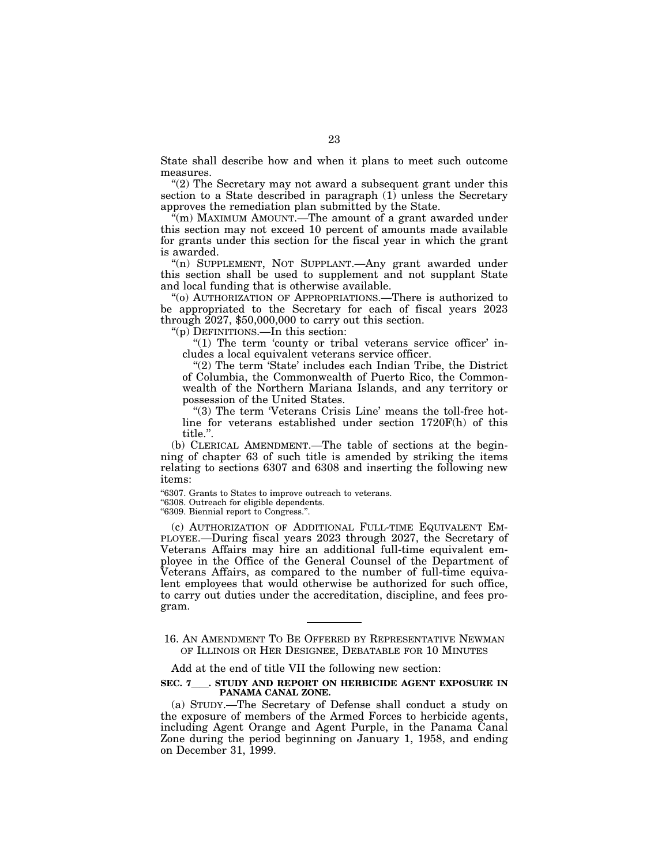State shall describe how and when it plans to meet such outcome measures.

''(2) The Secretary may not award a subsequent grant under this section to a State described in paragraph (1) unless the Secretary approves the remediation plan submitted by the State.

''(m) MAXIMUM AMOUNT.—The amount of a grant awarded under this section may not exceed 10 percent of amounts made available for grants under this section for the fiscal year in which the grant is awarded.

"(n) SUPPLEMENT, NOT SUPPLANT.- Any grant awarded under this section shall be used to supplement and not supplant State and local funding that is otherwise available.

''(o) AUTHORIZATION OF APPROPRIATIONS.—There is authorized to be appropriated to the Secretary for each of fiscal years 2023 through 2027, \$50,000,000 to carry out this section.

''(p) DEFINITIONS.—In this section:

" $(1)$  The term 'county or tribal veterans service officer' includes a local equivalent veterans service officer.

"(2) The term 'State' includes each Indian Tribe, the District of Columbia, the Commonwealth of Puerto Rico, the Commonwealth of the Northern Mariana Islands, and any territory or possession of the United States.

"(3) The term 'Veterans Crisis Line' means the toll-free hotline for veterans established under section 1720F(h) of this title.''.

(b) CLERICAL AMENDMENT.—The table of sections at the beginning of chapter 63 of such title is amended by striking the items relating to sections 6307 and 6308 and inserting the following new items:

''6307. Grants to States to improve outreach to veterans.

''6308. Outreach for eligible dependents.

''6309. Biennial report to Congress.''.

(c) AUTHORIZATION OF ADDITIONAL FULL-TIME EQUIVALENT EM-PLOYEE.—During fiscal years 2023 through 2027, the Secretary of Veterans Affairs may hire an additional full-time equivalent employee in the Office of the General Counsel of the Department of Veterans Affairs, as compared to the number of full-time equivalent employees that would otherwise be authorized for such office, to carry out duties under the accreditation, discipline, and fees program.

16. AN AMENDMENT TO BE OFFERED BY REPRESENTATIVE NEWMAN OF ILLINOIS OR HER DESIGNEE, DEBATABLE FOR 10 MINUTES

Add at the end of title VII the following new section:

**SEC. 7**ll**. STUDY AND REPORT ON HERBICIDE AGENT EXPOSURE IN PANAMA CANAL ZONE.** 

(a) STUDY.—The Secretary of Defense shall conduct a study on the exposure of members of the Armed Forces to herbicide agents, including Agent Orange and Agent Purple, in the Panama Canal Zone during the period beginning on January 1, 1958, and ending on December 31, 1999.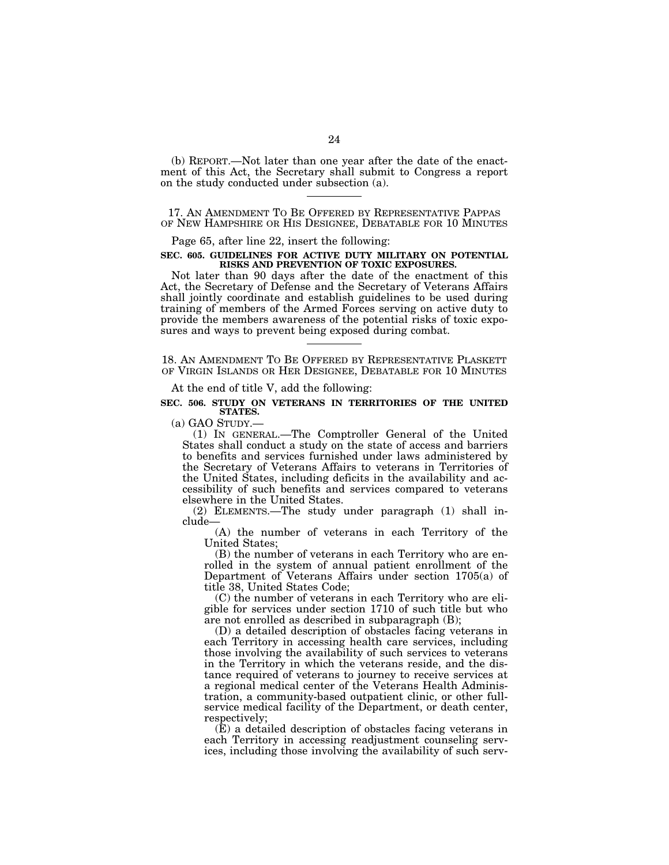(b) REPORT.—Not later than one year after the date of the enactment of this Act, the Secretary shall submit to Congress a report on the study conducted under subsection (a).

17. AN AMENDMENT TO BE OFFERED BY REPRESENTATIVE PAPPAS OF NEW HAMPSHIRE OR HIS DESIGNEE, DEBATABLE FOR 10 MINUTES

Page 65, after line 22, insert the following:

## **SEC. 605. GUIDELINES FOR ACTIVE DUTY MILITARY ON POTENTIAL RISKS AND PREVENTION OF TOXIC EXPOSURES.**

Not later than 90 days after the date of the enactment of this Act, the Secretary of Defense and the Secretary of Veterans Affairs shall jointly coordinate and establish guidelines to be used during training of members of the Armed Forces serving on active duty to provide the members awareness of the potential risks of toxic exposures and ways to prevent being exposed during combat.

18. AN AMENDMENT TO BE OFFERED BY REPRESENTATIVE PLASKETT OF VIRGIN ISLANDS OR HER DESIGNEE, DEBATABLE FOR 10 MINUTES

At the end of title V, add the following:

### **SEC. 506. STUDY ON VETERANS IN TERRITORIES OF THE UNITED STATES.**

(a) GAO STUDY.— (1) IN GENERAL.—The Comptroller General of the United States shall conduct a study on the state of access and barriers to benefits and services furnished under laws administered by the Secretary of Veterans Affairs to veterans in Territories of the United States, including deficits in the availability and accessibility of such benefits and services compared to veterans elsewhere in the United States.

(2) ELEMENTS.—The study under paragraph (1) shall include—

(A) the number of veterans in each Territory of the United States;

(B) the number of veterans in each Territory who are enrolled in the system of annual patient enrollment of the Department of Veterans Affairs under section 1705(a) of title 38, United States Code;

(C) the number of veterans in each Territory who are eligible for services under section 1710 of such title but who are not enrolled as described in subparagraph (B);

(D) a detailed description of obstacles facing veterans in each Territory in accessing health care services, including those involving the availability of such services to veterans in the Territory in which the veterans reside, and the distance required of veterans to journey to receive services at a regional medical center of the Veterans Health Administration, a community-based outpatient clinic, or other fullservice medical facility of the Department, or death center, respectively;

(E) a detailed description of obstacles facing veterans in each Territory in accessing readjustment counseling services, including those involving the availability of such serv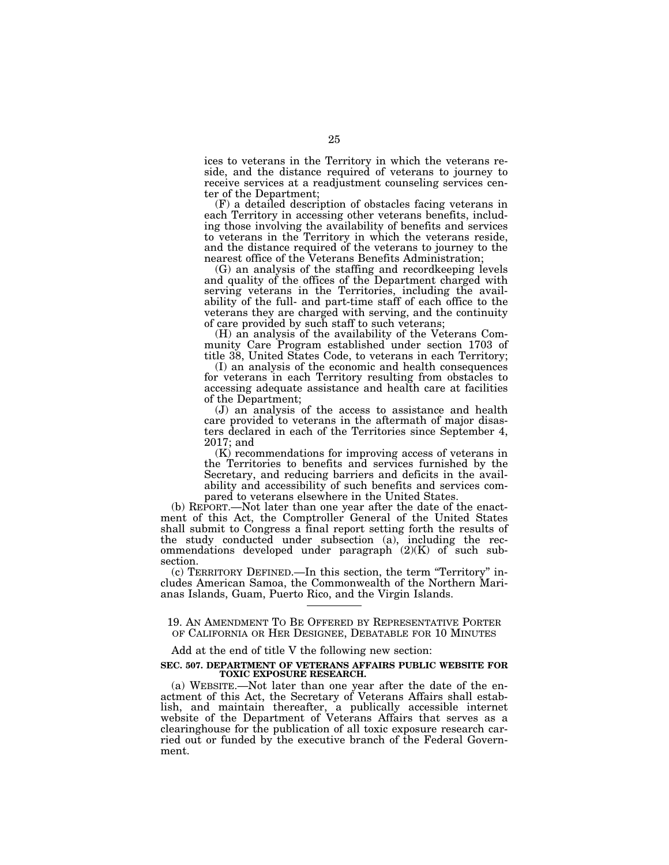ices to veterans in the Territory in which the veterans reside, and the distance required of veterans to journey to receive services at a readjustment counseling services center of the Department;

(F) a detailed description of obstacles facing veterans in each Territory in accessing other veterans benefits, including those involving the availability of benefits and services to veterans in the Territory in which the veterans reside, and the distance required of the veterans to journey to the nearest office of the Veterans Benefits Administration;

(G) an analysis of the staffing and recordkeeping levels and quality of the offices of the Department charged with serving veterans in the Territories, including the availability of the full- and part-time staff of each office to the veterans they are charged with serving, and the continuity of care provided by such staff to such veterans;

(H) an analysis of the availability of the Veterans Community Care Program established under section 1703 of title 38, United States Code, to veterans in each Territory;

(I) an analysis of the economic and health consequences for veterans in each Territory resulting from obstacles to accessing adequate assistance and health care at facilities of the Department;

(J) an analysis of the access to assistance and health care provided to veterans in the aftermath of major disasters declared in each of the Territories since September 4, 2017; and

(K) recommendations for improving access of veterans in the Territories to benefits and services furnished by the Secretary, and reducing barriers and deficits in the availability and accessibility of such benefits and services compared to veterans elsewhere in the United States.

(b) REPORT.—Not later than one year after the date of the enactment of this Act, the Comptroller General of the United States shall submit to Congress a final report setting forth the results of the study conducted under subsection (a), including the recommendations developed under paragraph (2)(K) of such subsection.

(c) TERRITORY DEFINED.—In this section, the term ''Territory'' includes American Samoa, the Commonwealth of the Northern Marianas Islands, Guam, Puerto Rico, and the Virgin Islands.

19. AN AMENDMENT TO BE OFFERED BY REPRESENTATIVE PORTER OF CALIFORNIA OR HER DESIGNEE, DEBATABLE FOR 10 MINUTES

#### Add at the end of title V the following new section:

### **SEC. 507. DEPARTMENT OF VETERANS AFFAIRS PUBLIC WEBSITE FOR TOXIC EXPOSURE RESEARCH.**

(a) WEBSITE.—Not later than one year after the date of the enactment of this Act, the Secretary of Veterans Affairs shall establish, and maintain thereafter, a publically accessible internet website of the Department of Veterans Affairs that serves as a clearinghouse for the publication of all toxic exposure research carried out or funded by the executive branch of the Federal Government.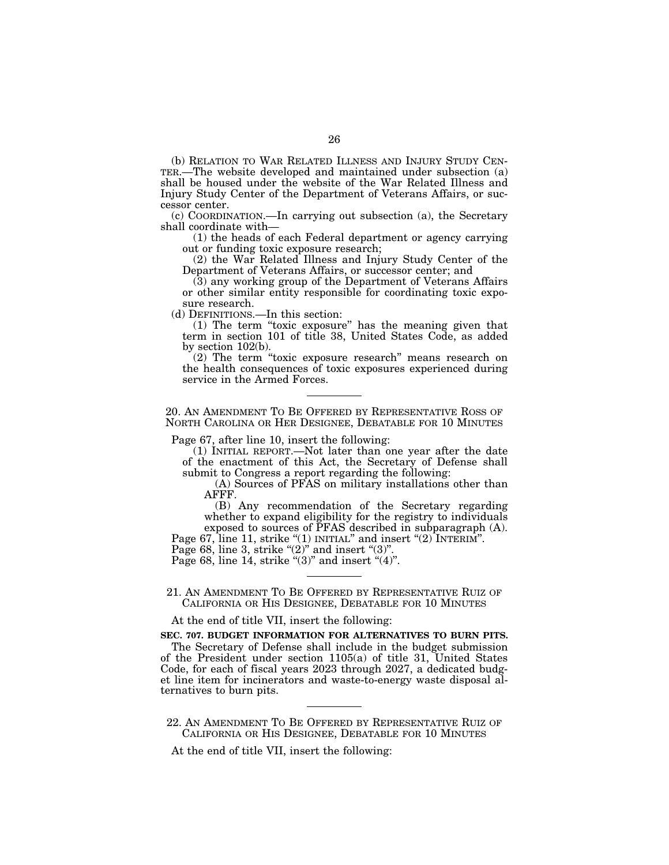(b) RELATION TO WAR RELATED ILLNESS AND INJURY STUDY CEN- TER.—The website developed and maintained under subsection (a) shall be housed under the website of the War Related Illness and Injury Study Center of the Department of Veterans Affairs, or successor center.

(c) COORDINATION.—In carrying out subsection (a), the Secretary shall coordinate with—

(1) the heads of each Federal department or agency carrying out or funding toxic exposure research;

(2) the War Related Illness and Injury Study Center of the Department of Veterans Affairs, or successor center; and

(3) any working group of the Department of Veterans Affairs or other similar entity responsible for coordinating toxic exposure research.

(d) DEFINITIONS.—In this section:

(1) The term ''toxic exposure'' has the meaning given that term in section 101 of title 38, United States Code, as added by section 102(b).

(2) The term ''toxic exposure research'' means research on the health consequences of toxic exposures experienced during service in the Armed Forces.

20. AN AMENDMENT TO BE OFFERED BY REPRESENTATIVE ROSS OF NORTH CAROLINA OR HER DESIGNEE, DEBATABLE FOR 10 MINUTES

Page 67, after line 10, insert the following:

(1) INITIAL REPORT.—Not later than one year after the date of the enactment of this Act, the Secretary of Defense shall submit to Congress a report regarding the following:

(A) Sources of PFAS on military installations other than AFFF.

(B) Any recommendation of the Secretary regarding whether to expand eligibility for the registry to individuals exposed to sources of PFAS described in subparagraph (A).

Page 67, line 11, strike "(1) INITIAL" and insert "(2) INTERIM".

Page 68, line 3, strike " $(2)$ " and insert " $(3)$ ".

Page 68, line 14, strike " $(3)$ " and insert " $(4)$ ".

21. AN AMENDMENT TO BE OFFERED BY REPRESENTATIVE RUIZ OF CALIFORNIA OR HIS DESIGNEE, DEBATABLE FOR 10 MINUTES

At the end of title VII, insert the following:

**SEC. 707. BUDGET INFORMATION FOR ALTERNATIVES TO BURN PITS.** 

The Secretary of Defense shall include in the budget submission of the President under section 1105(a) of title 31, United States Code, for each of fiscal years 2023 through 2027, a dedicated budget line item for incinerators and waste-to-energy waste disposal alternatives to burn pits.

22. AN AMENDMENT TO BE OFFERED BY REPRESENTATIVE RUIZ OF CALIFORNIA OR HIS DESIGNEE, DEBATABLE FOR 10 MINUTES

At the end of title VII, insert the following: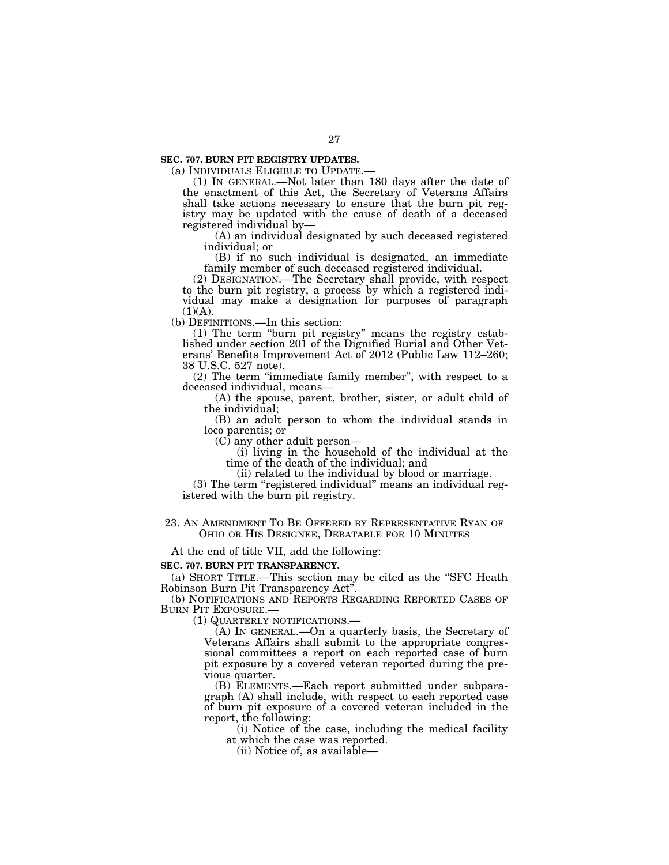**SEC. 707. BURN PIT REGISTRY UPDATES.** 

(a) INDIVIDUALS ELIGIBLE TO UPDATE.— (1) IN GENERAL.—Not later than 180 days after the date of the enactment of this Act, the Secretary of Veterans Affairs shall take actions necessary to ensure that the burn pit registry may be updated with the cause of death of a deceased registered individual by—

(A) an individual designated by such deceased registered individual; or

(B) if no such individual is designated, an immediate family member of such deceased registered individual.

(2) DESIGNATION.—The Secretary shall provide, with respect to the burn pit registry, a process by which a registered individual may make a designation for purposes of paragraph  $(1)(A)$ .

(b) DEFINITIONS.—In this section:

(1) The term ''burn pit registry'' means the registry established under section 201 of the Dignified Burial and Other Veterans' Benefits Improvement Act of 2012 (Public Law 112–260; 38 U.S.C. 527 note).

(2) The term ''immediate family member'', with respect to a deceased individual, means—

(A) the spouse, parent, brother, sister, or adult child of the individual;

(B) an adult person to whom the individual stands in loco parentis; or

(C) any other adult person—

(i) living in the household of the individual at the time of the death of the individual; and

(ii) related to the individual by blood or marriage.

(3) The term ''registered individual'' means an individual registered with the burn pit registry.

23. AN AMENDMENT TO BE OFFERED BY REPRESENTATIVE RYAN OF OHIO OR HIS DESIGNEE, DEBATABLE FOR 10 MINUTES

At the end of title VII, add the following:

## **SEC. 707. BURN PIT TRANSPARENCY.**

(a) SHORT TITLE.—This section may be cited as the ''SFC Heath Robinson Burn Pit Transparency Act''.

(b) NOTIFICATIONS AND REPORTS REGARDING REPORTED CASES OF BURN PIT EXPOSURE.— (1) QUARTERLY NOTIFICATIONS.— (A) IN GENERAL.—On a quarterly basis, the Secretary of

Veterans Affairs shall submit to the appropriate congressional committees a report on each reported case of burn pit exposure by a covered veteran reported during the previous quarter.

(B) ELEMENTS.—Each report submitted under subparagraph (A) shall include, with respect to each reported case of burn pit exposure of a covered veteran included in the report, the following:

(i) Notice of the case, including the medical facility at which the case was reported.

(ii) Notice of, as available—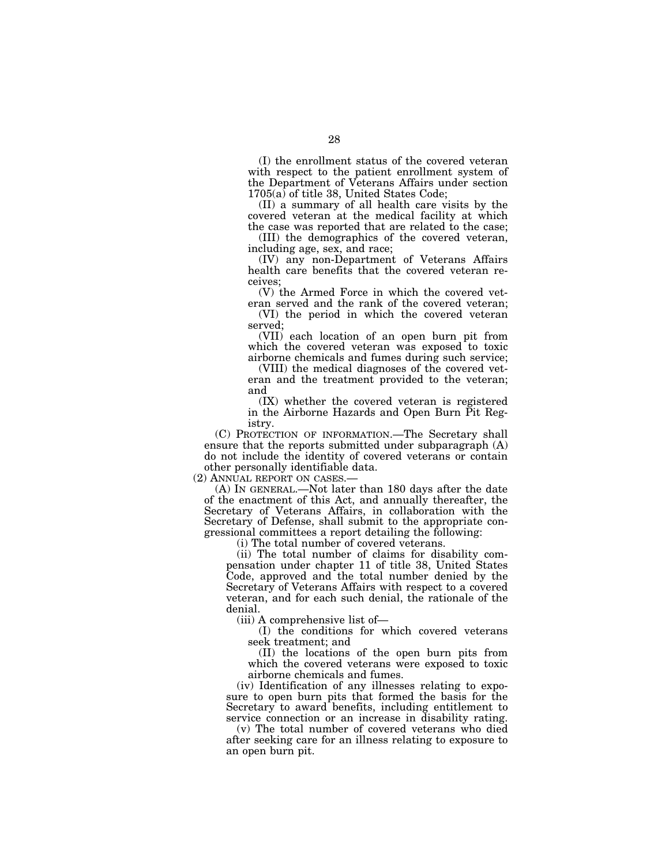(I) the enrollment status of the covered veteran with respect to the patient enrollment system of the Department of Veterans Affairs under section 1705(a) of title 38, United States Code;

(II) a summary of all health care visits by the covered veteran at the medical facility at which the case was reported that are related to the case;

(III) the demographics of the covered veteran, including age, sex, and race;

(IV) any non-Department of Veterans Affairs health care benefits that the covered veteran receives;

(V) the Armed Force in which the covered veteran served and the rank of the covered veteran;

(VI) the period in which the covered veteran served;

(VII) each location of an open burn pit from which the covered veteran was exposed to toxic airborne chemicals and fumes during such service;

(VIII) the medical diagnoses of the covered veteran and the treatment provided to the veteran; and

(IX) whether the covered veteran is registered in the Airborne Hazards and Open Burn Pit Registry.

(C) PROTECTION OF INFORMATION.—The Secretary shall ensure that the reports submitted under subparagraph (A) do not include the identity of covered veterans or contain other personally identifiable data.

(2) ANNUAL REPORT ON CASES.—

(A) IN GENERAL.—Not later than 180 days after the date of the enactment of this Act, and annually thereafter, the Secretary of Veterans Affairs, in collaboration with the Secretary of Defense, shall submit to the appropriate congressional committees a report detailing the following:

(i) The total number of covered veterans.

(ii) The total number of claims for disability compensation under chapter 11 of title 38, United States Code, approved and the total number denied by the Secretary of Veterans Affairs with respect to a covered veteran, and for each such denial, the rationale of the denial.

(iii) A comprehensive list of—

(I) the conditions for which covered veterans seek treatment; and

(II) the locations of the open burn pits from which the covered veterans were exposed to toxic airborne chemicals and fumes.

(iv) Identification of any illnesses relating to exposure to open burn pits that formed the basis for the Secretary to award benefits, including entitlement to service connection or an increase in disability rating.

(v) The total number of covered veterans who died after seeking care for an illness relating to exposure to an open burn pit.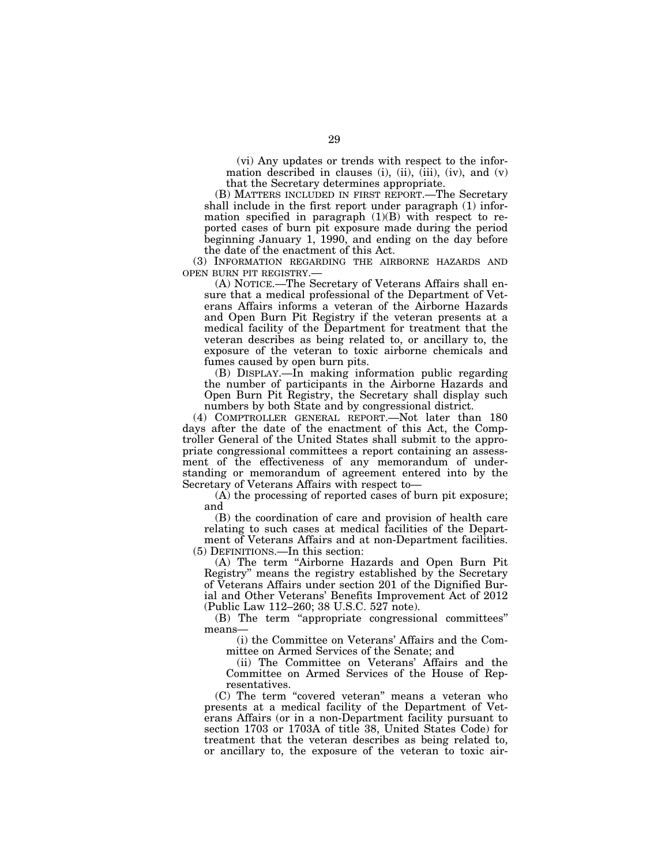(vi) Any updates or trends with respect to the information described in clauses (i), (ii),  $(iii)$ ,  $(iv)$ , and  $(v)$ that the Secretary determines appropriate.

(B) MATTERS INCLUDED IN FIRST REPORT.—The Secretary shall include in the first report under paragraph (1) information specified in paragraph (1)(B) with respect to reported cases of burn pit exposure made during the period beginning January 1, 1990, and ending on the day before the date of the enactment of this Act.

(3) INFORMATION REGARDING THE AIRBORNE HAZARDS AND OPEN BURN PIT REGISTRY.—

(A) NOTICE.—The Secretary of Veterans Affairs shall ensure that a medical professional of the Department of Veterans Affairs informs a veteran of the Airborne Hazards and Open Burn Pit Registry if the veteran presents at a medical facility of the Department for treatment that the veteran describes as being related to, or ancillary to, the exposure of the veteran to toxic airborne chemicals and fumes caused by open burn pits.

(B) DISPLAY.—In making information public regarding the number of participants in the Airborne Hazards and Open Burn Pit Registry, the Secretary shall display such numbers by both State and by congressional district.

(4) COMPTROLLER GENERAL REPORT.—Not later than 180 days after the date of the enactment of this Act, the Comptroller General of the United States shall submit to the appropriate congressional committees a report containing an assessment of the effectiveness of any memorandum of understanding or memorandum of agreement entered into by the Secretary of Veterans Affairs with respect to—

(A) the processing of reported cases of burn pit exposure; and

(B) the coordination of care and provision of health care relating to such cases at medical facilities of the Department of Veterans Affairs and at non-Department facilities. (5) DEFINITIONS.—In this section:

(A) The term ''Airborne Hazards and Open Burn Pit Registry'' means the registry established by the Secretary of Veterans Affairs under section 201 of the Dignified Burial and Other Veterans' Benefits Improvement Act of 2012 (Public Law 112–260; 38 U.S.C. 527 note).

(B) The term ''appropriate congressional committees'' means—

(i) the Committee on Veterans' Affairs and the Committee on Armed Services of the Senate; and

(ii) The Committee on Veterans' Affairs and the Committee on Armed Services of the House of Representatives.

(C) The term ''covered veteran'' means a veteran who presents at a medical facility of the Department of Veterans Affairs (or in a non-Department facility pursuant to section 1703 or 1703A of title 38, United States Code) for treatment that the veteran describes as being related to, or ancillary to, the exposure of the veteran to toxic air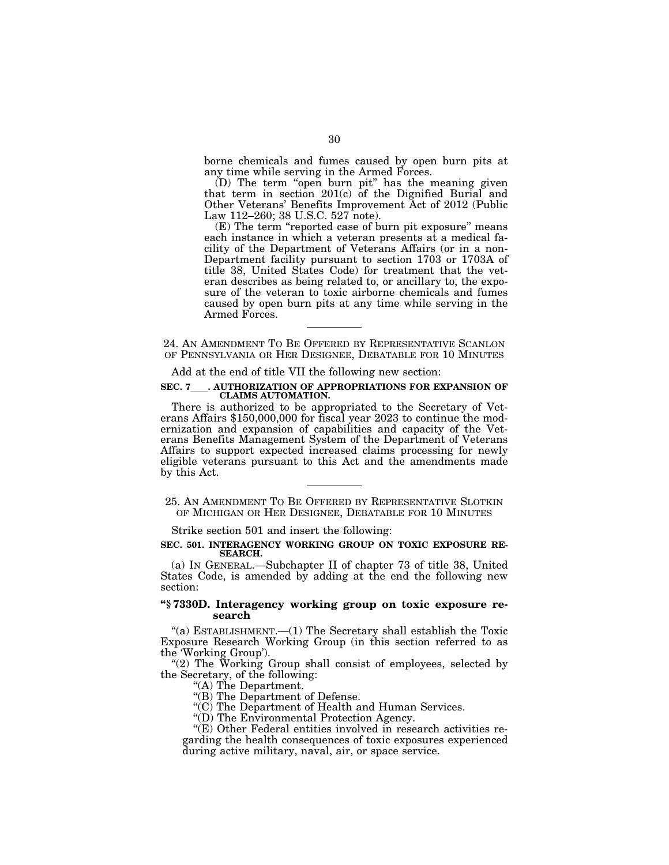borne chemicals and fumes caused by open burn pits at any time while serving in the Armed Forces.

(D) The term ''open burn pit'' has the meaning given that term in section 201(c) of the Dignified Burial and Other Veterans' Benefits Improvement Act of 2012 (Public Law 112–260; 38 U.S.C. 527 note).

(E) The term ''reported case of burn pit exposure'' means each instance in which a veteran presents at a medical facility of the Department of Veterans Affairs (or in a non-Department facility pursuant to section 1703 or 1703A of title 38, United States Code) for treatment that the veteran describes as being related to, or ancillary to, the exposure of the veteran to toxic airborne chemicals and fumes caused by open burn pits at any time while serving in the Armed Forces.

24. AN AMENDMENT TO BE OFFERED BY REPRESENTATIVE SCANLON OF PENNSYLVANIA OR HER DESIGNEE, DEBATABLE FOR 10 MINUTES

Add at the end of title VII the following new section:

### **SEC. 7**ll**. AUTHORIZATION OF APPROPRIATIONS FOR EXPANSION OF CLAIMS AUTOMATION.**

There is authorized to be appropriated to the Secretary of Vet-<br>erans Affairs \$150,000,000 for fiscal year 2023 to continue the modernization and expansion of capabilities and capacity of the Veterans Benefits Management System of the Department of Veterans Affairs to support expected increased claims processing for newly eligible veterans pursuant to this Act and the amendments made by this Act.

# 25. AN AMENDMENT TO BE OFFERED BY REPRESENTATIVE SLOTKIN OF MICHIGAN OR HER DESIGNEE, DEBATABLE FOR 10 MINUTES

Strike section 501 and insert the following:

#### **SEC. 501. INTERAGENCY WORKING GROUP ON TOXIC EXPOSURE RE-SEARCH.**

(a) IN GENERAL.—Subchapter II of chapter 73 of title 38, United States Code, is amended by adding at the end the following new section:

# **''§ 7330D. Interagency working group on toxic exposure research**

"(a) ESTABLISHMENT.— $(1)$  The Secretary shall establish the Toxic Exposure Research Working Group (in this section referred to as the 'Working Group').

"(2) The Working Group shall consist of employees, selected by the Secretary, of the following:

''(A) The Department.

''(B) The Department of Defense.

''(C) The Department of Health and Human Services.

''(D) The Environmental Protection Agency.

"(E) Other Federal entities involved in research activities regarding the health consequences of toxic exposures experienced during active military, naval, air, or space service.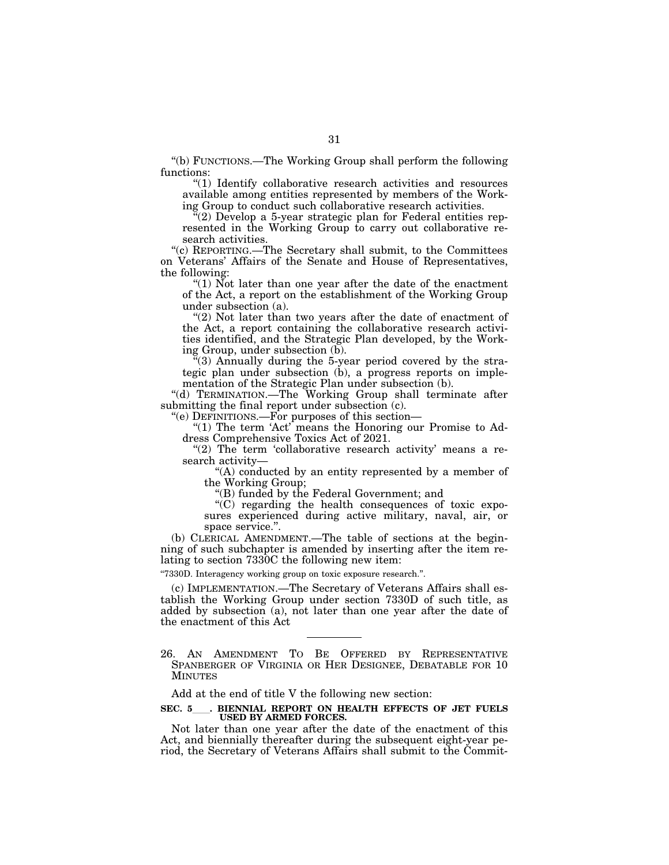''(b) FUNCTIONS.—The Working Group shall perform the following functions:

''(1) Identify collaborative research activities and resources available among entities represented by members of the Working Group to conduct such collaborative research activities.

 $\tilde{f}(2)$  Develop a 5-year strategic plan for Federal entities represented in the Working Group to carry out collaborative research activities.

''(c) REPORTING.—The Secretary shall submit, to the Committees on Veterans' Affairs of the Senate and House of Representatives, the following:

''(1) Not later than one year after the date of the enactment of the Act, a report on the establishment of the Working Group under subsection (a).

"(2) Not later than two years after the date of enactment of the Act, a report containing the collaborative research activities identified, and the Strategic Plan developed, by the Working Group, under subsection (b).

''(3) Annually during the 5-year period covered by the strategic plan under subsection (b), a progress reports on implementation of the Strategic Plan under subsection (b).

''(d) TERMINATION.—The Working Group shall terminate after submitting the final report under subsection (c).

''(e) DEFINITIONS.—For purposes of this section—

"(1) The term 'Act' means the Honoring our Promise to Address Comprehensive Toxics Act of 2021.

"(2) The term 'collaborative research activity' means a research activity—

"(A) conducted by an entity represented by a member of the Working Group;

''(B) funded by the Federal Government; and

''(C) regarding the health consequences of toxic exposures experienced during active military, naval, air, or space service.''.

(b) CLERICAL AMENDMENT.—The table of sections at the beginning of such subchapter is amended by inserting after the item relating to section 7330C the following new item:

''7330D. Interagency working group on toxic exposure research.''.

(c) IMPLEMENTATION.—The Secretary of Veterans Affairs shall establish the Working Group under section 7330D of such title, as added by subsection (a), not later than one year after the date of the enactment of this Act

Add at the end of title V the following new section:

# SEC. 5 . BIENNIAL REPORT ON HEALTH EFFECTS OF JET FUELS **USED BY ARMED FORCES.**

Not later than one year after the date of the enactment of this Act, and biennially thereafter during the subsequent eight-year period, the Secretary of Veterans Affairs shall submit to the Commit-

<sup>26.</sup> AN AMENDMENT TO BE OFFERED BY REPRESENTATIVE SPANBERGER OF VIRGINIA OR HER DESIGNEE, DEBATABLE FOR 10 MINUTES